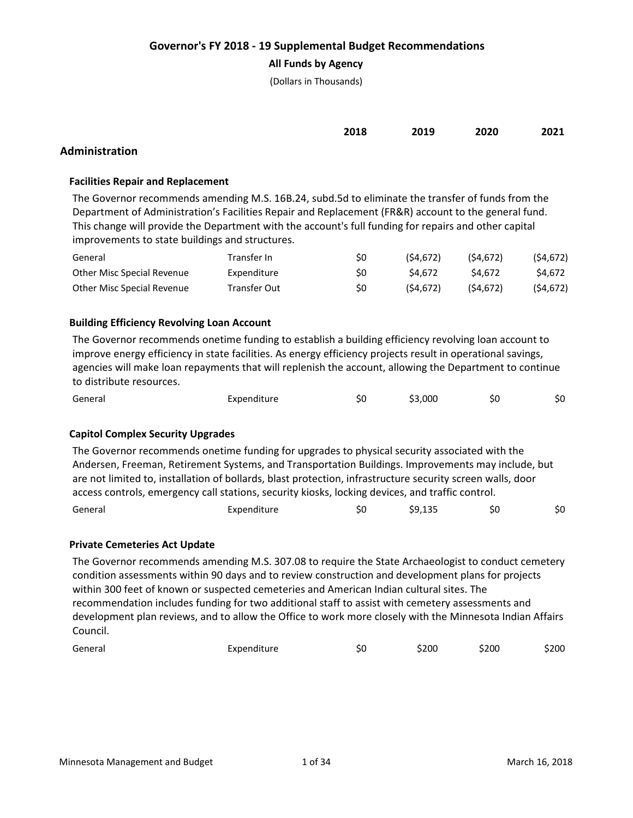### **All Funds by Agency**

(Dollars in Thousands)

| 2018 | 2019 | 2020 | 2021 |
|------|------|------|------|
|      |      |      |      |

# **Administration**

### **Facilities Repair and Replacement**

The Governor recommends amending M.S. 16B.24, subd.5d to eliminate the transfer of funds from the Department of Administration's Facilities Repair and Replacement (FR&R) account to the general fund. This change will provide the Department with the account's full funding for repairs and other capital improvements to state buildings and structures.

| General                    | Transfer In  | S0 | (S4.672) | (S4.672) | (54, 672) |
|----------------------------|--------------|----|----------|----------|-----------|
| Other Misc Special Revenue | Expenditure  | S0 | S4.672   | \$4.672  | S4.672    |
| Other Misc Special Revenue | Transfer Out | S0 | (S4.672) | (S4.672) | (54, 672) |

## **Building Efficiency Revolving Loan Account**

The Governor recommends onetime funding to establish a building efficiency revolving loan account to improve energy efficiency in state facilities. As energy efficiency projects result in operational savings, agencies will make loan repayments that will replenish the account, allowing the Department to continue to distribute resources.

| General | Expenditure | \$3,000 | S0 | \$0 |
|---------|-------------|---------|----|-----|
|         |             |         |    |     |

#### **Capitol Complex Security Upgrades**

The Governor recommends onetime funding for upgrades to physical security associated with the Andersen, Freeman, Retirement Systems, and Transportation Buildings. Improvements may include, but are not limited to, installation of bollards, blast protection, infrastructure security screen walls, door access controls, emergency call stations, security kiosks, locking devices, and traffic control.

| General | Expenditure | C | \$9,135 | \$0 | \$0 |
|---------|-------------|---|---------|-----|-----|
|---------|-------------|---|---------|-----|-----|

#### **Private Cemeteries Act Update**

The Governor recommends amending M.S. 307.08 to require the State Archaeologist to conduct cemetery condition assessments within 90 days and to review construction and development plans for projects within 300 feet of known or suspected cemeteries and American Indian cultural sites. The recommendation includes funding for two additional staff to assist with cemetery assessments and development plan reviews, and to allow the Office to work more closely with the Minnesota Indian Affairs Council.

| General | Expenditure | 5U | \$200 | \$200 | \$200 |
|---------|-------------|----|-------|-------|-------|
|---------|-------------|----|-------|-------|-------|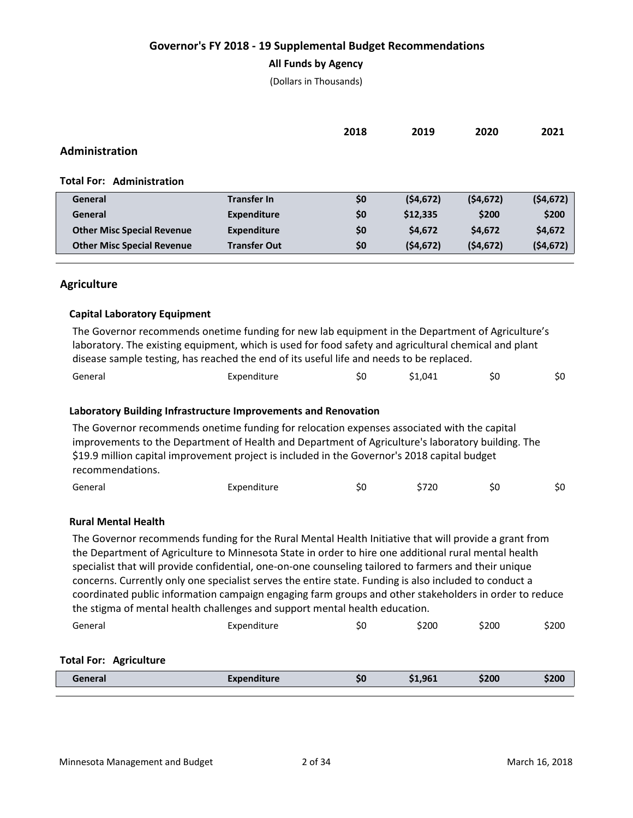## **All Funds by Agency**

(Dollars in Thousands)

|                                   |                     | 2018 | 2019      | 2020      | 2021      |
|-----------------------------------|---------------------|------|-----------|-----------|-----------|
| Administration                    |                     |      |           |           |           |
| <b>Total For: Administration</b>  |                     |      |           |           |           |
| General                           | <b>Transfer In</b>  | \$0  | (54, 672) | (54, 672) | (54, 672) |
| General                           | <b>Expenditure</b>  | \$0  | \$12,335  | \$200     | \$200     |
| <b>Other Misc Special Revenue</b> | <b>Expenditure</b>  | \$0  | \$4,672   | \$4,672   | \$4,672   |
| <b>Other Misc Special Revenue</b> | <b>Transfer Out</b> | \$0  | (54, 672) | (54, 672) | (54, 672) |
|                                   |                     |      |           |           |           |

## **Agriculture**

## **Capital Laboratory Equipment**

| The Governor recommends onetime funding for new lab equipment in the Department of Agriculture's      |             |    |         |    |     |  |  |  |
|-------------------------------------------------------------------------------------------------------|-------------|----|---------|----|-----|--|--|--|
| laboratory. The existing equipment, which is used for food safety and agricultural chemical and plant |             |    |         |    |     |  |  |  |
| disease sample testing, has reached the end of its useful life and needs to be replaced.              |             |    |         |    |     |  |  |  |
| General                                                                                               | Expenditure | S0 | \$1.041 | S0 | \$0 |  |  |  |

### **Laboratory Building Infrastructure Improvements and Renovation**

The Governor recommends onetime funding for relocation expenses associated with the capital improvements to the Department of Health and Department of Agriculture's laboratory building. The \$19.9 million capital improvement project is included in the Governor's 2018 capital budget recommendations.

| General | Expenditure | эu | \$720 | \$0 | \$0 |
|---------|-------------|----|-------|-----|-----|
|         |             |    |       |     |     |

#### **Rural Mental Health**

The Governor recommends funding for the Rural Mental Health Initiative that will provide a grant from the Department of Agriculture to Minnesota State in order to hire one additional rural mental health specialist that will provide confidential, one-on-one counseling tailored to farmers and their unique concerns. Currently only one specialist serves the entire state. Funding is also included to conduct a coordinated public information campaign engaging farm groups and other stakeholders in order to reduce the stigma of mental health challenges and support mental health education.

| General | Expenditure | SU | \$200 | \$200 | \$200 |
|---------|-------------|----|-------|-------|-------|
|---------|-------------|----|-------|-------|-------|

#### **Total For: Agriculture**

| $'$ a in a isa<br>_ _ _ _ | -----<br><br>--- | 50 | ,961 | \$200 | \$200 |
|---------------------------|------------------|----|------|-------|-------|
|                           |                  |    |      |       |       |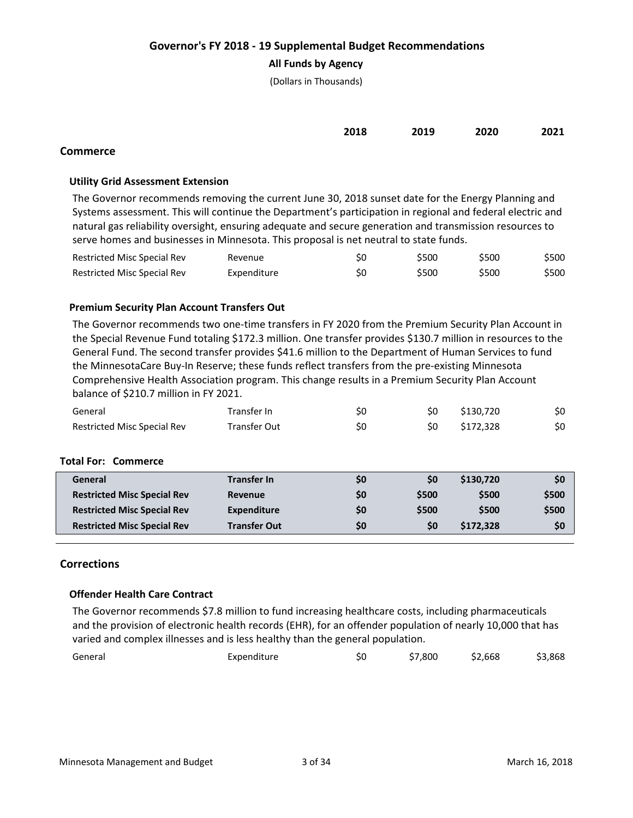## **All Funds by Agency**

(Dollars in Thousands)

|  | 2018 2019 2020 2021 |  |
|--|---------------------|--|
|  |                     |  |

## **Commerce**

## **Utility Grid Assessment Extension**

The Governor recommends removing the current June 30, 2018 sunset date for the Energy Planning and Systems assessment. This will continue the Department's participation in regional and federal electric and natural gas reliability oversight, ensuring adequate and secure generation and transmission resources to serve homes and businesses in Minnesota. This proposal is net neutral to state funds.

| Restricted Misc Special Rev | Revenue     | S0 | \$500 | \$500 | \$500 |
|-----------------------------|-------------|----|-------|-------|-------|
| Restricted Misc Special Rev | Expenditure | S0 | \$500 | \$500 | \$500 |

## **Premium Security Plan Account Transfers Out**

The Governor recommends two one-time transfers in FY 2020 from the Premium Security Plan Account in the Special Revenue Fund totaling \$172.3 million. One transfer provides \$130.7 million in resources to the General Fund. The second transfer provides \$41.6 million to the Department of Human Services to fund the MinnesotaCare Buy-In Reserve; these funds reflect transfers from the pre-existing Minnesota Comprehensive Health Association program. This change results in a Premium Security Plan Account balance of \$210.7 million in FY 2021.

| General                     | Transfer In  | \$0 | S0 | \$130.720 | \$0 |
|-----------------------------|--------------|-----|----|-----------|-----|
| Restricted Misc Special Rev | Transfer Out | \$0 | S0 | \$172.328 | \$0 |

#### **Total For: Commerce**

| General                            | <b>Transfer In</b>  | \$0 | \$0   | \$130,720 | \$0   |
|------------------------------------|---------------------|-----|-------|-----------|-------|
| <b>Restricted Misc Special Rev</b> | <b>Revenue</b>      | \$0 | \$500 | \$500     | \$500 |
| <b>Restricted Misc Special Rev</b> | Expenditure         | \$0 | \$500 | \$500     | \$500 |
| <b>Restricted Misc Special Rev</b> | <b>Transfer Out</b> | \$0 | S0    | \$172,328 | \$0   |
|                                    |                     |     |       |           |       |

## **Corrections**

#### **Offender Health Care Contract**

The Governor recommends \$7.8 million to fund increasing healthcare costs, including pharmaceuticals and the provision of electronic health records (EHR), for an offender population of nearly 10,000 that has varied and complex illnesses and is less healthy than the general population.

| General | Expenditure | SU | \$7,800 | \$2,668 | \$3,868 |
|---------|-------------|----|---------|---------|---------|
|         |             |    |         |         |         |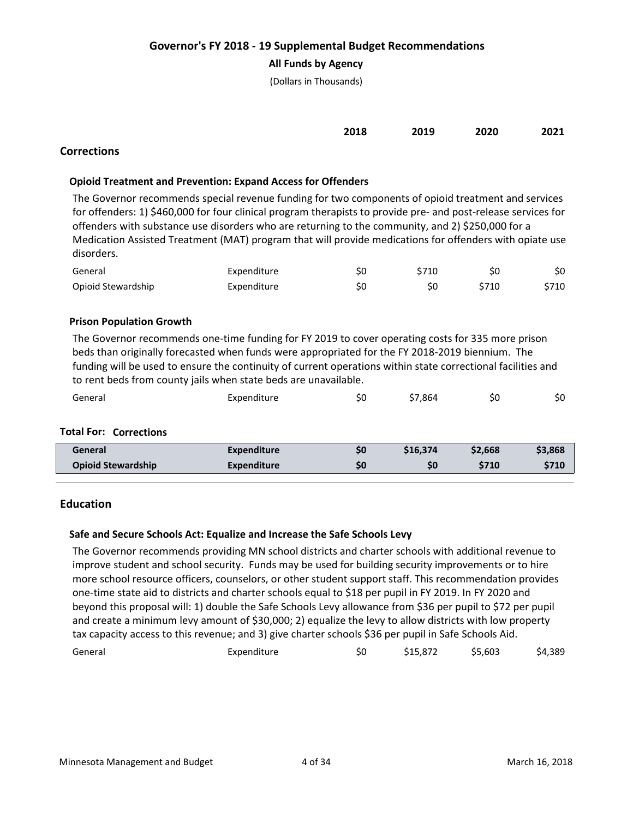## **All Funds by Agency**

(Dollars in Thousands)

| 2018 | 2019<br>___ | 2020 | 2021 |
|------|-------------|------|------|
|      |             |      |      |

# **Corrections**

## **Opioid Treatment and Prevention: Expand Access for Offenders**

The Governor recommends special revenue funding for two components of opioid treatment and services for offenders: 1) \$460,000 for four clinical program therapists to provide pre- and post-release services for offenders with substance use disorders who are returning to the community, and 2) \$250,000 for a Medication Assisted Treatment (MAT) program that will provide medications for offenders with opiate use disorders.

| General            | Expenditure | \$0 | \$710 |       | \$0   |
|--------------------|-------------|-----|-------|-------|-------|
| Opioid Stewardship | Expenditure | Ś0  |       | \$710 | \$710 |

#### **Prison Population Growth**

The Governor recommends one-time funding for FY 2019 to cover operating costs for 335 more prison beds than originally forecasted when funds were appropriated for the FY 2018-2019 biennium. The funding will be used to ensure the continuity of current operations within state correctional facilities and to rent beds from county jails when state beds are unavailable.

| General | Expenditure | Ś0 | \$7,864 | S0 | \$0 |
|---------|-------------|----|---------|----|-----|
|         |             |    |         |    |     |

#### **Total For: Corrections**

| <b>General</b>            | Expenditure        | S0 | \$16,374 | \$2,668     | \$3,868 |
|---------------------------|--------------------|----|----------|-------------|---------|
| <b>Opioid Stewardship</b> | <b>Expenditure</b> | S0 | S0       | <b>S710</b> | \$710   |
|                           |                    |    |          |             |         |

## **Education**

#### **Safe and Secure Schools Act: Equalize and Increase the Safe Schools Levy**

The Governor recommends providing MN school districts and charter schools with additional revenue to improve student and school security. Funds may be used for building security improvements or to hire more school resource officers, counselors, or other student support staff. This recommendation provides one-time state aid to districts and charter schools equal to \$18 per pupil in FY 2019. In FY 2020 and beyond this proposal will: 1) double the Safe Schools Levy allowance from \$36 per pupil to \$72 per pupil and create a minimum levy amount of \$30,000; 2) equalize the levy to allow districts with low property tax capacity access to this revenue; and 3) give charter schools \$36 per pupil in Safe Schools Aid.

| General | Expenditure | \$15,872 | \$5,603 | \$4,389 |
|---------|-------------|----------|---------|---------|
|         |             |          |         |         |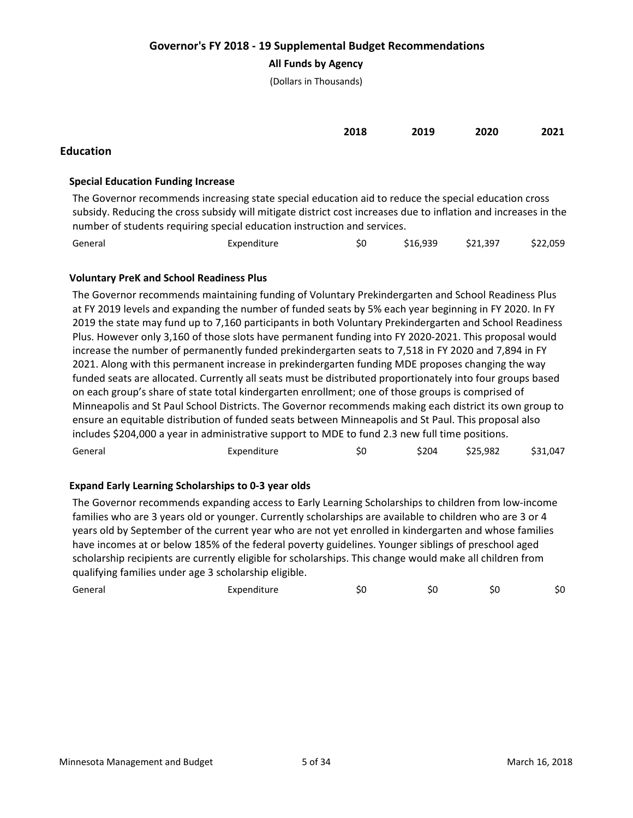## **All Funds by Agency**

(Dollars in Thousands)

|           | 2018 | 2019 | 2020 | 2021 |
|-----------|------|------|------|------|
| Education |      |      |      |      |

## **Special Education Funding Increase**

The Governor recommends increasing state special education aid to reduce the special education cross subsidy. Reducing the cross subsidy will mitigate district cost increases due to inflation and increases in the number of students requiring special education instruction and services.

| General | Expenditure | \$16,939 | \$21,397 | \$22,059 |
|---------|-------------|----------|----------|----------|
|         |             |          |          |          |

# **Voluntary PreK and School Readiness Plus**

The Governor recommends maintaining funding of Voluntary Prekindergarten and School Readiness Plus at FY 2019 levels and expanding the number of funded seats by 5% each year beginning in FY 2020. In FY 2019 the state may fund up to 7,160 participants in both Voluntary Prekindergarten and School Readiness Plus. However only 3,160 of those slots have permanent funding into FY 2020-2021. This proposal would increase the number of permanently funded prekindergarten seats to 7,518 in FY 2020 and 7,894 in FY 2021. Along with this permanent increase in prekindergarten funding MDE proposes changing the way funded seats are allocated. Currently all seats must be distributed proportionately into four groups based on each group's share of state total kindergarten enrollment; one of those groups is comprised of Minneapolis and St Paul School Districts. The Governor recommends making each district its own group to ensure an equitable distribution of funded seats between Minneapolis and St Paul. This proposal also includes \$204,000 a year in administrative support to MDE to fund 2.3 new full time positions.

| General | Expenditure | \$0 | \$204 | \$25,982 | \$31,047 |
|---------|-------------|-----|-------|----------|----------|
|---------|-------------|-----|-------|----------|----------|

# **Expand Early Learning Scholarships to 0-3 year olds**

The Governor recommends expanding access to Early Learning Scholarships to children from low-income families who are 3 years old or younger. Currently scholarships are available to children who are 3 or 4 years old by September of the current year who are not yet enrolled in kindergarten and whose families have incomes at or below 185% of the federal poverty guidelines. Younger siblings of preschool aged scholarship recipients are currently eligible for scholarships. This change would make all children from qualifying families under age 3 scholarship eligible.

| $\sim$<br>General<br>__ | cxpenditure | ı | SС | S0 |
|-------------------------|-------------|---|----|----|
|                         |             |   |    |    |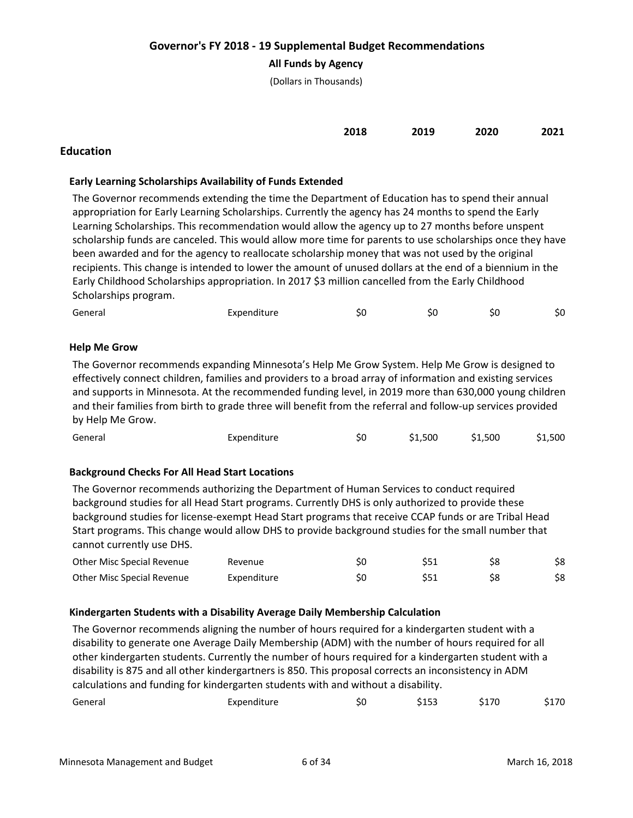## **All Funds by Agency**

(Dollars in Thousands)

| 2018 | 2019 | 2020 | 2021 |
|------|------|------|------|
|      |      |      |      |

# **Education**

## **Early Learning Scholarships Availability of Funds Extended**

The Governor recommends extending the time the Department of Education has to spend their annual appropriation for Early Learning Scholarships. Currently the agency has 24 months to spend the Early Learning Scholarships. This recommendation would allow the agency up to 27 months before unspent scholarship funds are canceled. This would allow more time for parents to use scholarships once they have been awarded and for the agency to reallocate scholarship money that was not used by the original recipients. This change is intended to lower the amount of unused dollars at the end of a biennium in the Early Childhood Scholarships appropriation. In 2017 \$3 million cancelled from the Early Childhood Scholarships program.

| General | Expenditure | 5U | эu |  | S0 |
|---------|-------------|----|----|--|----|
|---------|-------------|----|----|--|----|

## **Help Me Grow**

The Governor recommends expanding Minnesota's Help Me Grow System. Help Me Grow is designed to effectively connect children, families and providers to a broad array of information and existing services and supports in Minnesota. At the recommended funding level, in 2019 more than 630,000 young children and their families from birth to grade three will benefit from the referral and follow-up services provided by Help Me Grow.

| General | Expenditure | Ś0 | \$1,500 | \$1,500 | \$1,500 |
|---------|-------------|----|---------|---------|---------|
|         |             |    |         |         |         |

## **Background Checks For All Head Start Locations**

The Governor recommends authorizing the Department of Human Services to conduct required background studies for all Head Start programs. Currently DHS is only authorized to provide these background studies for license-exempt Head Start programs that receive CCAP funds or are Tribal Head Start programs. This change would allow DHS to provide background studies for the small number that cannot currently use DHS.

| Other Misc Special Revenue | Revenue     |  |  |
|----------------------------|-------------|--|--|
| Other Misc Special Revenue | Expenditure |  |  |

#### **Kindergarten Students with a Disability Average Daily Membership Calculation**

The Governor recommends aligning the number of hours required for a kindergarten student with a disability to generate one Average Daily Membership (ADM) with the number of hours required for all other kindergarten students. Currently the number of hours required for a kindergarten student with a disability is 875 and all other kindergartners is 850. This proposal corrects an inconsistency in ADM calculations and funding for kindergarten students with and without a disability.

| General | Expenditure<br>SΟ | \$153 | \$170 | 170د |
|---------|-------------------|-------|-------|------|
|---------|-------------------|-------|-------|------|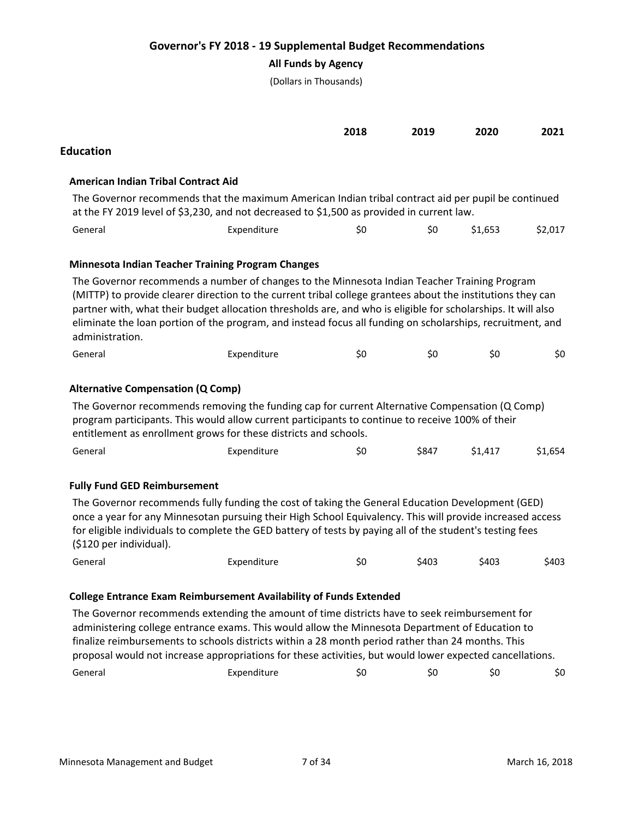**All Funds by Agency**

(Dollars in Thousands)

|                                            |                                                                                                                                                                                                                                                                                                                                                                                                                                                                                                | 2018 | 2019  | 2020    | 2021    |
|--------------------------------------------|------------------------------------------------------------------------------------------------------------------------------------------------------------------------------------------------------------------------------------------------------------------------------------------------------------------------------------------------------------------------------------------------------------------------------------------------------------------------------------------------|------|-------|---------|---------|
| <b>Education</b>                           |                                                                                                                                                                                                                                                                                                                                                                                                                                                                                                |      |       |         |         |
| <b>American Indian Tribal Contract Aid</b> |                                                                                                                                                                                                                                                                                                                                                                                                                                                                                                |      |       |         |         |
|                                            | The Governor recommends that the maximum American Indian tribal contract aid per pupil be continued<br>at the FY 2019 level of \$3,230, and not decreased to \$1,500 as provided in current law.                                                                                                                                                                                                                                                                                               |      |       |         |         |
| General                                    | Expenditure                                                                                                                                                                                                                                                                                                                                                                                                                                                                                    | \$0  | \$0   | \$1,653 | \$2,017 |
|                                            | <b>Minnesota Indian Teacher Training Program Changes</b>                                                                                                                                                                                                                                                                                                                                                                                                                                       |      |       |         |         |
| administration.                            | The Governor recommends a number of changes to the Minnesota Indian Teacher Training Program<br>(MITTP) to provide clearer direction to the current tribal college grantees about the institutions they can<br>partner with, what their budget allocation thresholds are, and who is eligible for scholarships. It will also<br>eliminate the loan portion of the program, and instead focus all funding on scholarships, recruitment, and                                                     |      |       |         |         |
| General                                    | Expenditure                                                                                                                                                                                                                                                                                                                                                                                                                                                                                    | \$0  | \$0   | \$0     | \$0     |
| <b>Alternative Compensation (Q Comp)</b>   | The Governor recommends removing the funding cap for current Alternative Compensation (Q Comp)<br>program participants. This would allow current participants to continue to receive 100% of their<br>entitlement as enrollment grows for these districts and schools.                                                                                                                                                                                                                         |      |       |         |         |
| General                                    | Expenditure                                                                                                                                                                                                                                                                                                                                                                                                                                                                                    | \$0  | \$847 | \$1,417 | \$1,654 |
| <b>Fully Fund GED Reimbursement</b>        |                                                                                                                                                                                                                                                                                                                                                                                                                                                                                                |      |       |         |         |
| (\$120 per individual).                    | The Governor recommends fully funding the cost of taking the General Education Development (GED)<br>once a year for any Minnesotan pursuing their High School Equivalency. This will provide increased access<br>for eligible individuals to complete the GED battery of tests by paying all of the student's testing fees                                                                                                                                                                     |      |       |         |         |
| General                                    | Expenditure                                                                                                                                                                                                                                                                                                                                                                                                                                                                                    | \$0  | \$403 | \$403   | \$403   |
|                                            | <b>College Entrance Exam Reimbursement Availability of Funds Extended</b><br>The Governor recommends extending the amount of time districts have to seek reimbursement for<br>administering college entrance exams. This would allow the Minnesota Department of Education to<br>finalize reimbursements to schools districts within a 28 month period rather than 24 months. This<br>proposal would not increase appropriations for these activities, but would lower expected cancellations. |      |       |         |         |
| General                                    | Expenditure                                                                                                                                                                                                                                                                                                                                                                                                                                                                                    | \$0  | \$0   | \$0     | \$0     |
|                                            |                                                                                                                                                                                                                                                                                                                                                                                                                                                                                                |      |       |         |         |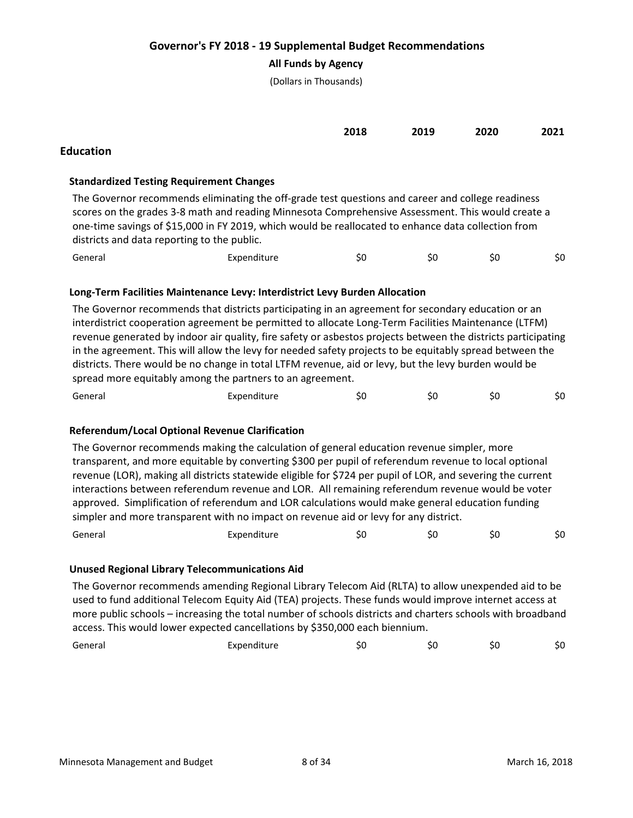## **All Funds by Agency**

(Dollars in Thousands)

|                  | 2018 | 2019 | 2020 | 2021 |
|------------------|------|------|------|------|
| <b>Education</b> |      |      |      |      |

## **Standardized Testing Requirement Changes**

The Governor recommends eliminating the off-grade test questions and career and college readiness scores on the grades 3-8 math and reading Minnesota Comprehensive Assessment. This would create a one-time savings of \$15,000 in FY 2019, which would be reallocated to enhance data collection from districts and data reporting to the public.

| General<br>Expenditure<br>5ľ<br>5U |  |  |  |  |  | \$0 |
|------------------------------------|--|--|--|--|--|-----|
|------------------------------------|--|--|--|--|--|-----|

## **Long-Term Facilities Maintenance Levy: Interdistrict Levy Burden Allocation**

The Governor recommends that districts participating in an agreement for secondary education or an interdistrict cooperation agreement be permitted to allocate Long-Term Facilities Maintenance (LTFM) revenue generated by indoor air quality, fire safety or asbestos projects between the districts participating in the agreement. This will allow the levy for needed safety projects to be equitably spread between the districts. There would be no change in total LTFM revenue, aid or levy, but the levy burden would be spread more equitably among the partners to an agreement.

| General | Expenditure | 71. | эu | 5l | \$0 |
|---------|-------------|-----|----|----|-----|
|         |             |     |    |    |     |

## **Referendum/Local Optional Revenue Clarification**

The Governor recommends making the calculation of general education revenue simpler, more transparent, and more equitable by converting \$300 per pupil of referendum revenue to local optional revenue (LOR), making all districts statewide eligible for \$724 per pupil of LOR, and severing the current interactions between referendum revenue and LOR. All remaining referendum revenue would be voter approved. Simplification of referendum and LOR calculations would make general education funding simpler and more transparent with no impact on revenue aid or levy for any district. General Expenditure \$0 \$0 \$0 \$0

## **Unused Regional Library Telecommunications Aid**

The Governor recommends amending Regional Library Telecom Aid (RLTA) to allow unexpended aid to be used to fund additional Telecom Equity Aid (TEA) projects. These funds would improve internet access at more public schools – increasing the total number of schools districts and charters schools with broadband access. This would lower expected cancellations by \$350,000 each biennium.

| General | Expenditure<br>_____ |  | 5ť | Sυ | S0 |
|---------|----------------------|--|----|----|----|
|---------|----------------------|--|----|----|----|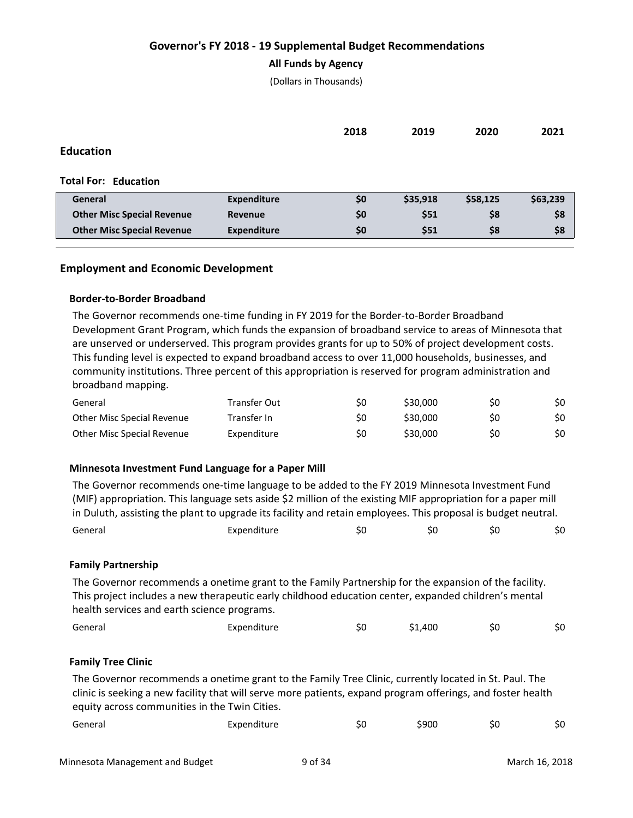### **All Funds by Agency**

(Dollars in Thousands)

|                                   |                    | 2018 | 2019     | 2020     | 2021     |
|-----------------------------------|--------------------|------|----------|----------|----------|
| <b>Education</b>                  |                    |      |          |          |          |
|                                   |                    |      |          |          |          |
| <b>Total For: Education</b>       |                    |      |          |          |          |
| General                           | <b>Expenditure</b> | \$0  | \$35,918 | \$58,125 | \$63,239 |
| <b>Other Misc Special Revenue</b> | Revenue            | \$0  | \$51     | \$8      | \$8      |
| <b>Other Misc Special Revenue</b> | <b>Expenditure</b> | \$0  | \$51     | \$8      | \$8      |
|                                   |                    |      |          |          |          |

## **Employment and Economic Development**

#### **Border-to-Border Broadband**

The Governor recommends one-time funding in FY 2019 for the Border-to-Border Broadband Development Grant Program, which funds the expansion of broadband service to areas of Minnesota that are unserved or underserved. This program provides grants for up to 50% of project development costs. This funding level is expected to expand broadband access to over 11,000 households, businesses, and community institutions. Three percent of this appropriation is reserved for program administration and broadband mapping.

| General                    | Transfer Out | S0 | \$30,000 | S0 | \$0 |
|----------------------------|--------------|----|----------|----|-----|
| Other Misc Special Revenue | Transfer In  | S0 | \$30.000 | S0 | \$0 |
| Other Misc Special Revenue | Expenditure  | S0 | \$30.000 | S0 | \$0 |

#### **Minnesota Investment Fund Language for a Paper Mill**

| Expenditure                                 | \$0 | \$0     | \$0 | \$0                                                                                                                                                                                                                                                                                                                                                                                                                                                                                                                                             |
|---------------------------------------------|-----|---------|-----|-------------------------------------------------------------------------------------------------------------------------------------------------------------------------------------------------------------------------------------------------------------------------------------------------------------------------------------------------------------------------------------------------------------------------------------------------------------------------------------------------------------------------------------------------|
|                                             |     |         |     |                                                                                                                                                                                                                                                                                                                                                                                                                                                                                                                                                 |
| health services and earth science programs. |     |         |     |                                                                                                                                                                                                                                                                                                                                                                                                                                                                                                                                                 |
| Expenditure                                 | \$0 | \$1,400 | \$0 | \$0                                                                                                                                                                                                                                                                                                                                                                                                                                                                                                                                             |
|                                             |     |         |     | The Governor recommends one-time language to be added to the FY 2019 Minnesota Investment Fund<br>(MIF) appropriation. This language sets aside \$2 million of the existing MIF appropriation for a paper mill<br>in Duluth, assisting the plant to upgrade its facility and retain employees. This proposal is budget neutral.<br>The Governor recommends a onetime grant to the Family Partnership for the expansion of the facility.<br>This project includes a new therapeutic early childhood education center, expanded children's mental |

#### **Family Tree Clinic**

The Governor recommends a onetime grant to the Family Tree Clinic, currently located in St. Paul. The clinic is seeking a new facility that will serve more patients, expand program offerings, and foster health equity across communities in the Twin Cities.

| General | Expenditure | 5U | \$900 | 5U | JU. |
|---------|-------------|----|-------|----|-----|
|---------|-------------|----|-------|----|-----|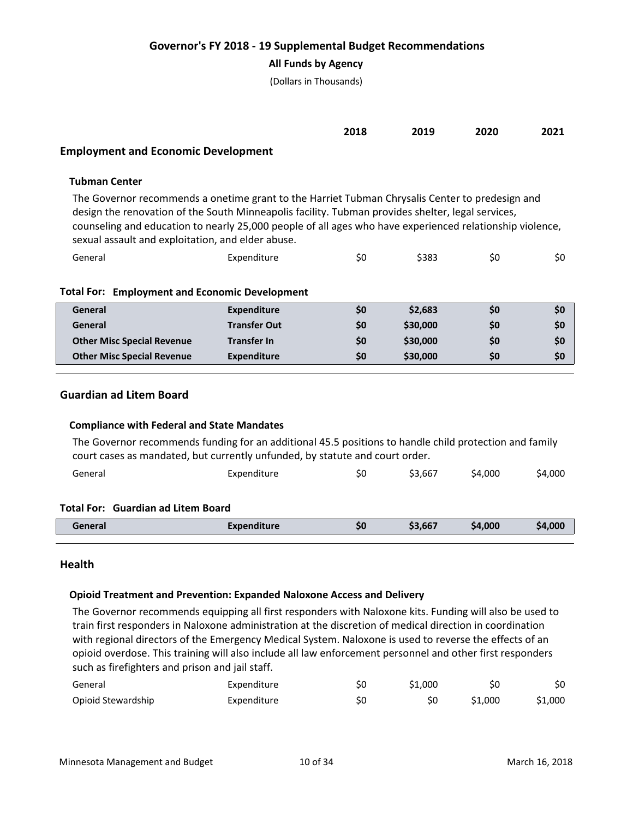## **All Funds by Agency**

(Dollars in Thousands)

|                                        | 2018 | 2019 | 2020 | 2021 |
|----------------------------------------|------|------|------|------|
| Feedays ast and Feanancia Douglasseart |      |      |      |      |

### **Employment and Economic Development**

## **Tubman Center**

The Governor recommends a onetime grant to the Harriet Tubman Chrysalis Center to predesign and design the renovation of the South Minneapolis facility. Tubman provides shelter, legal services, counseling and education to nearly 25,000 people of all ages who have experienced relationship violence, sexual assault and exploitation, and elder abuse.

| General | Expenditure | SU | \$383 | S0 |  |
|---------|-------------|----|-------|----|--|
|         |             |    |       |    |  |

| General                           | Expenditure         | \$0 | \$2,683  | S0        | \$0 |
|-----------------------------------|---------------------|-----|----------|-----------|-----|
| General                           | <b>Transfer Out</b> | \$0 | \$30,000 | <b>SO</b> | \$0 |
| <b>Other Misc Special Revenue</b> | <b>Transfer In</b>  | \$0 | \$30,000 | <b>SO</b> | \$0 |
| <b>Other Misc Special Revenue</b> | Expenditure         | \$0 | \$30,000 | S0        | \$0 |

## **Guardian ad Litem Board**

#### **Compliance with Federal and State Mandates**

The Governor recommends funding for an additional 45.5 positions to handle child protection and family court cases as mandated, but currently unfunded, by statute and court order. General Expenditure \$0 \$3,667 \$4,000 \$4,000

#### **Total For: Guardian ad Litem Board**

| <b>Peneral</b> | ----<br>enanture | 50 | ,667<br>^^ | 4,000<br>54 |  |
|----------------|------------------|----|------------|-------------|--|
|                |                  |    |            |             |  |

#### **Health**

#### **Opioid Treatment and Prevention: Expanded Naloxone Access and Delivery**

The Governor recommends equipping all first responders with Naloxone kits. Funding will also be used to train first responders in Naloxone administration at the discretion of medical direction in coordination with regional directors of the Emergency Medical System. Naloxone is used to reverse the effects of an opioid overdose. This training will also include all law enforcement personnel and other first responders such as firefighters and prison and jail staff.

| General            | Expenditure | S0 | \$1,000 | S0      | \$0     |
|--------------------|-------------|----|---------|---------|---------|
| Opioid Stewardship | Expenditure | S0 |         | \$1,000 | \$1.000 |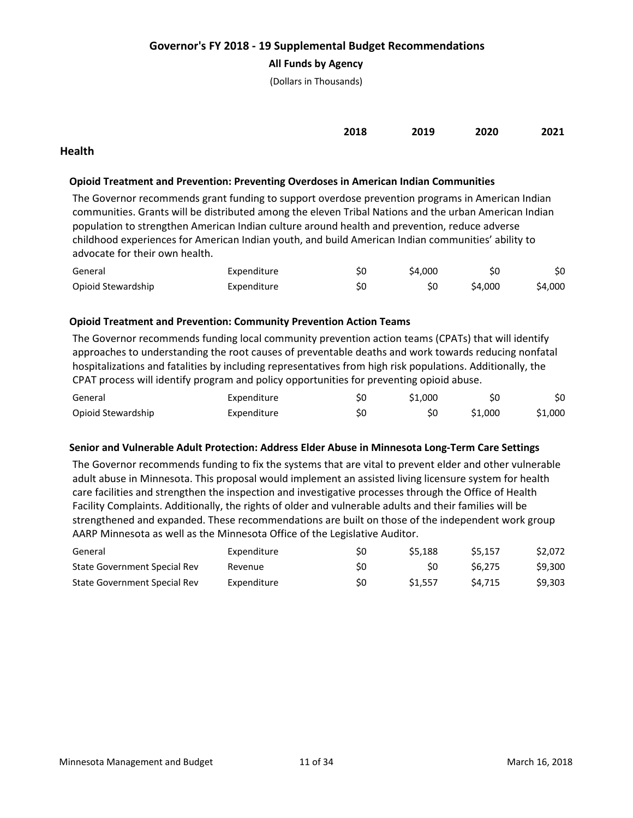## **All Funds by Agency**

(Dollars in Thousands)

| 2018 | 2019 | 2020 | 2021 |
|------|------|------|------|
|      |      |      |      |

## **Health**

### **Opioid Treatment and Prevention: Preventing Overdoses in American Indian Communities**

The Governor recommends grant funding to support overdose prevention programs in American Indian communities. Grants will be distributed among the eleven Tribal Nations and the urban American Indian population to strengthen American Indian culture around health and prevention, reduce adverse childhood experiences for American Indian youth, and build American Indian communities' ability to advocate for their own health.

| General            | Expenditure | Ś0 | \$4.000 | Ś0      | \$0     |
|--------------------|-------------|----|---------|---------|---------|
| Opioid Stewardship | Expenditure | SΟ |         | \$4.000 | \$4,000 |

#### **Opioid Treatment and Prevention: Community Prevention Action Teams**

The Governor recommends funding local community prevention action teams (CPATs) that will identify approaches to understanding the root causes of preventable deaths and work towards reducing nonfatal hospitalizations and fatalities by including representatives from high risk populations. Additionally, the CPAT process will identify program and policy opportunities for preventing opioid abuse.

| General            | Expenditure | SC  | \$1,000 |         | \$0     |
|--------------------|-------------|-----|---------|---------|---------|
| Opioid Stewardship | Expenditure | \$C |         | \$1,000 | \$1,000 |

#### **Senior and Vulnerable Adult Protection: Address Elder Abuse in Minnesota Long-Term Care Settings**

The Governor recommends funding to fix the systems that are vital to prevent elder and other vulnerable adult abuse in Minnesota. This proposal would implement an assisted living licensure system for health care facilities and strengthen the inspection and investigative processes through the Office of Health Facility Complaints. Additionally, the rights of older and vulnerable adults and their families will be strengthened and expanded. These recommendations are built on those of the independent work group AARP Minnesota as well as the Minnesota Office of the Legislative Auditor.

| General                      | Expenditure | S0 | S5.188             | S5.157 | \$2,072 |
|------------------------------|-------------|----|--------------------|--------|---------|
| State Government Special Rev | Revenue     | S0 | S0                 | S6.275 | \$9,300 |
| State Government Special Rev | Expenditure | S0 | S <sub>1.557</sub> | S4.715 | \$9.303 |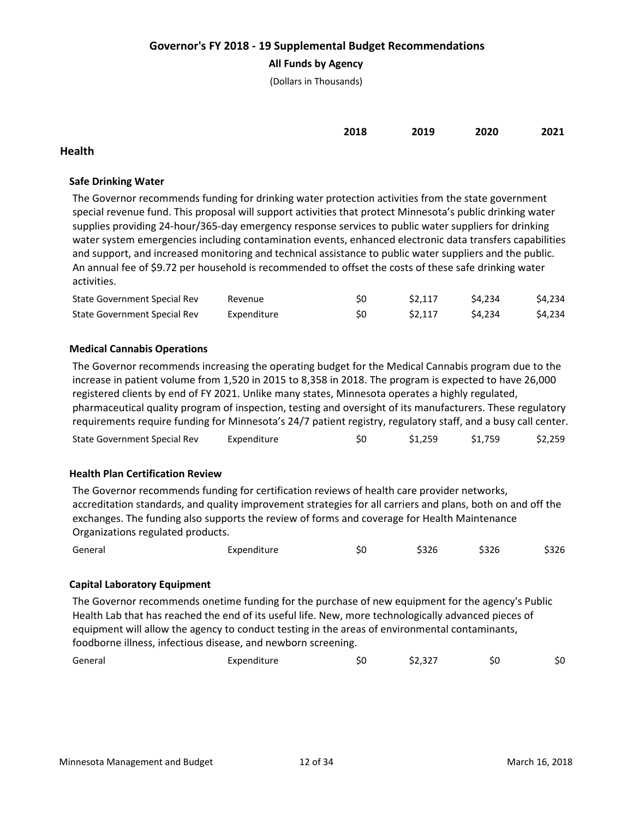## **All Funds by Agency**

(Dollars in Thousands)

| 2018 | 2019 | 2020 | 2021 |
|------|------|------|------|
|      |      |      |      |

## **Health**

## **Safe Drinking Water**

The Governor recommends funding for drinking water protection activities from the state government special revenue fund. This proposal will support activities that protect Minnesota's public drinking water supplies providing 24-hour/365-day emergency response services to public water suppliers for drinking water system emergencies including contamination events, enhanced electronic data transfers capabilities and support, and increased monitoring and technical assistance to public water suppliers and the public. An annual fee of \$9.72 per household is recommended to offset the costs of these safe drinking water activities.

| State Government Special Rev | Revenue     | S0 | S <sub>2.117</sub> | S4.234 | \$4,234 |
|------------------------------|-------------|----|--------------------|--------|---------|
| State Government Special Rev | Expenditure | S0 | S <sub>2.117</sub> | S4.234 | \$4,234 |

## **Medical Cannabis Operations**

The Governor recommends increasing the operating budget for the Medical Cannabis program due to the increase in patient volume from 1,520 in 2015 to 8,358 in 2018. The program is expected to have 26,000 registered clients by end of FY 2021. Unlike many states, Minnesota operates a highly regulated, pharmaceutical quality program of inspection, testing and oversight of its manufacturers. These regulatory requirements require funding for Minnesota's 24/7 patient registry, regulatory staff, and a busy call center.

| State Government Special Rev | Expenditure | S0 | \$1,259 | \$1,759 | \$2,259 |
|------------------------------|-------------|----|---------|---------|---------|
|------------------------------|-------------|----|---------|---------|---------|

## **Health Plan Certification Review**

The Governor recommends funding for certification reviews of health care provider networks, accreditation standards, and quality improvement strategies for all carriers and plans, both on and off the exchanges. The funding also supports the review of forms and coverage for Health Maintenance Organizations regulated products.

|  | General | Expenditure | 51. | \$326 | \$326 | \$326 |
|--|---------|-------------|-----|-------|-------|-------|
|--|---------|-------------|-----|-------|-------|-------|

## **Capital Laboratory Equipment**

The Governor recommends onetime funding for the purchase of new equipment for the agency's Public Health Lab that has reached the end of its useful life. New, more technologically advanced pieces of equipment will allow the agency to conduct testing in the areas of environmental contaminants, foodborne illness, infectious disease, and newborn screening.

| General | Expenditure | эu | $\sim$ $\sim$ $\sim$<br>32.321 | S0 | SO |
|---------|-------------|----|--------------------------------|----|----|
|         |             |    |                                |    |    |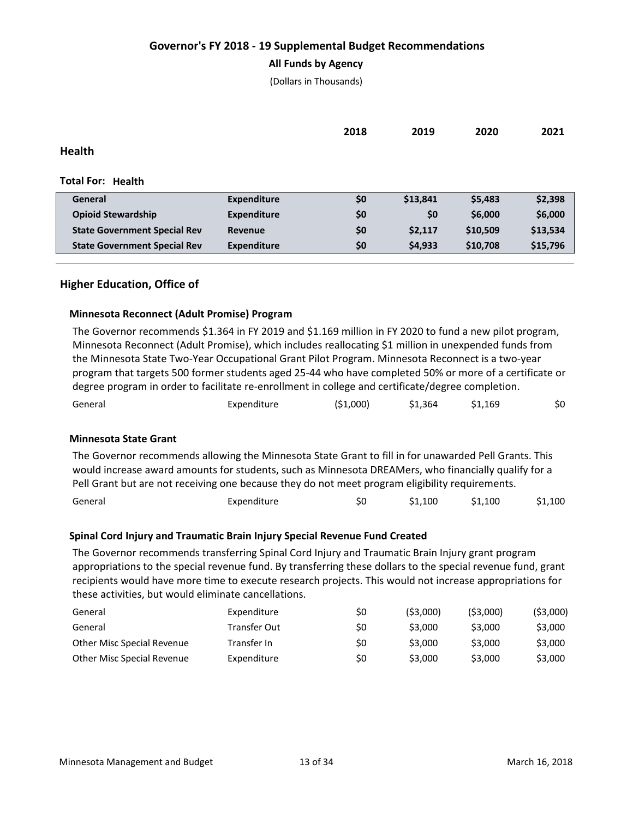## **All Funds by Agency**

(Dollars in Thousands)

|                                     |                    | 2018 | 2019     | 2020     | 2021     |
|-------------------------------------|--------------------|------|----------|----------|----------|
| <b>Health</b>                       |                    |      |          |          |          |
|                                     |                    |      |          |          |          |
| <b>Total For: Health</b>            |                    |      |          |          |          |
| General                             | <b>Expenditure</b> | \$0  | \$13,841 | \$5,483  | \$2,398  |
| <b>Opioid Stewardship</b>           | <b>Expenditure</b> | \$0  | \$0      | \$6,000  | \$6,000  |
| <b>State Government Special Rev</b> | <b>Revenue</b>     | \$0  | \$2,117  | \$10,509 | \$13,534 |
| <b>State Government Special Rev</b> | <b>Expenditure</b> | \$0  | \$4,933  | \$10,708 | \$15,796 |

## **Higher Education, Office of**

#### **Minnesota Reconnect (Adult Promise) Program**

The Governor recommends \$1.364 in FY 2019 and \$1.169 million in FY 2020 to fund a new pilot program, Minnesota Reconnect (Adult Promise), which includes reallocating \$1 million in unexpended funds from the Minnesota State Two-Year Occupational Grant Pilot Program. Minnesota Reconnect is a two-year program that targets 500 former students aged 25-44 who have completed 50% or more of a certificate or degree program in order to facilitate re-enrollment in college and certificate/degree completion.

| General | Expenditure | ( \$1,000) | \$1,364 | \$1,169 | \$0 |
|---------|-------------|------------|---------|---------|-----|
|         |             |            |         |         |     |

#### **Minnesota State Grant**

The Governor recommends allowing the Minnesota State Grant to fill in for unawarded Pell Grants. This would increase award amounts for students, such as Minnesota DREAMers, who financially qualify for a Pell Grant but are not receiving one because they do not meet program eligibility requirements.

| \$1,100 |
|---------|
|         |

#### **Spinal Cord Injury and Traumatic Brain Injury Special Revenue Fund Created**

The Governor recommends transferring Spinal Cord Injury and Traumatic Brain Injury grant program appropriations to the special revenue fund. By transferring these dollars to the special revenue fund, grant recipients would have more time to execute research projects. This would not increase appropriations for these activities, but would eliminate cancellations.

| General                    | Expenditure  | S0 | (53.000) | (53.000) | ( \$3,000) |
|----------------------------|--------------|----|----------|----------|------------|
| General                    | Transfer Out | S0 | \$3.000  | \$3,000  | \$3,000    |
| Other Misc Special Revenue | Transfer In  | S0 | \$3,000  | \$3,000  | \$3,000    |
| Other Misc Special Revenue | Expenditure  | S0 | \$3,000  | \$3,000  | \$3,000    |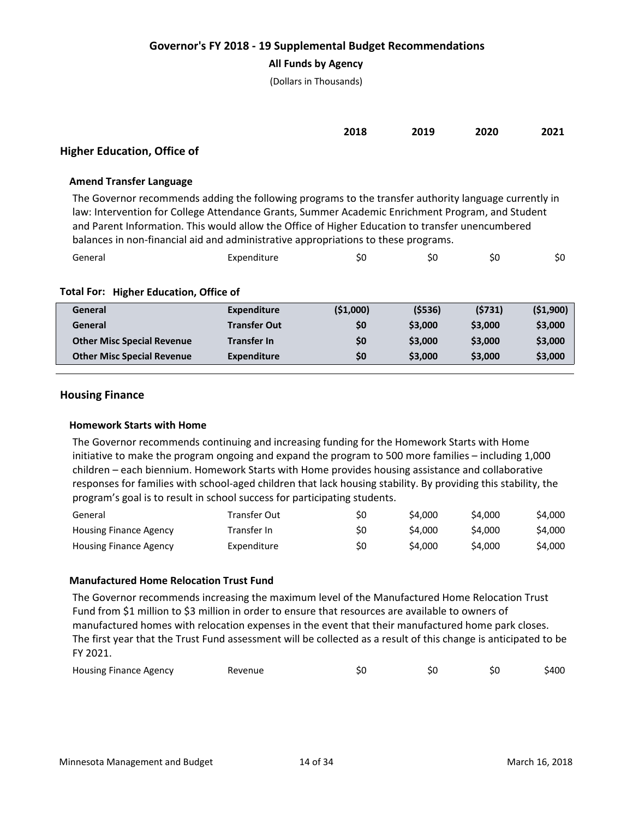## **All Funds by Agency**

(Dollars in Thousands)

| 2018<br>___ | 2019<br>___ | 2020<br>___ | 2021 |
|-------------|-------------|-------------|------|
|             |             |             |      |

# **Higher Education, Office of**

## **Amend Transfer Language**

The Governor recommends adding the following programs to the transfer authority language currently in law: Intervention for College Attendance Grants, Summer Academic Enrichment Program, and Student and Parent Information. This would allow the Office of Higher Education to transfer unencumbered balances in non-financial aid and administrative appropriations to these programs.

| General | Expenditure | 5l | S0 | r r<br>5U | \$0 |
|---------|-------------|----|----|-----------|-----|
|         |             |    |    |           |     |

## **Total For: Higher Education, Office of**

| General                           | Expenditure         | (51,000) | (5536)  | (5731)  | (51,900) |
|-----------------------------------|---------------------|----------|---------|---------|----------|
| General                           | <b>Transfer Out</b> | \$0      | \$3,000 | \$3,000 | \$3,000  |
| <b>Other Misc Special Revenue</b> | <b>Transfer In</b>  | \$0      | \$3,000 | \$3,000 | \$3,000  |
| <b>Other Misc Special Revenue</b> | <b>Expenditure</b>  | \$0      | \$3,000 | \$3,000 | \$3,000  |
|                                   |                     |          |         |         |          |

## **Housing Finance**

#### **Homework Starts with Home**

The Governor recommends continuing and increasing funding for the Homework Starts with Home initiative to make the program ongoing and expand the program to 500 more families – including 1,000 children – each biennium. Homework Starts with Home provides housing assistance and collaborative responses for families with school-aged children that lack housing stability. By providing this stability, the program's goal is to result in school success for participating students.

| General                       | Transfer Out | S0 | S4.000  | \$4,000 | S4.000  |
|-------------------------------|--------------|----|---------|---------|---------|
| <b>Housing Finance Agency</b> | Transfer In  | S0 | \$4,000 | S4.000  | S4.000  |
| Housing Finance Agency        | Expenditure  | S0 | S4.000  | \$4,000 | \$4.000 |

## **Manufactured Home Relocation Trust Fund**

The Governor recommends increasing the maximum level of the Manufactured Home Relocation Trust Fund from \$1 million to \$3 million in order to ensure that resources are available to owners of manufactured homes with relocation expenses in the event that their manufactured home park closes. The first year that the Trust Fund assessment will be collected as a result of this change is anticipated to be FY 2021.

| <b>Housing Finance Agency</b><br>Revenue |  |  |  | \$400 |
|------------------------------------------|--|--|--|-------|
|------------------------------------------|--|--|--|-------|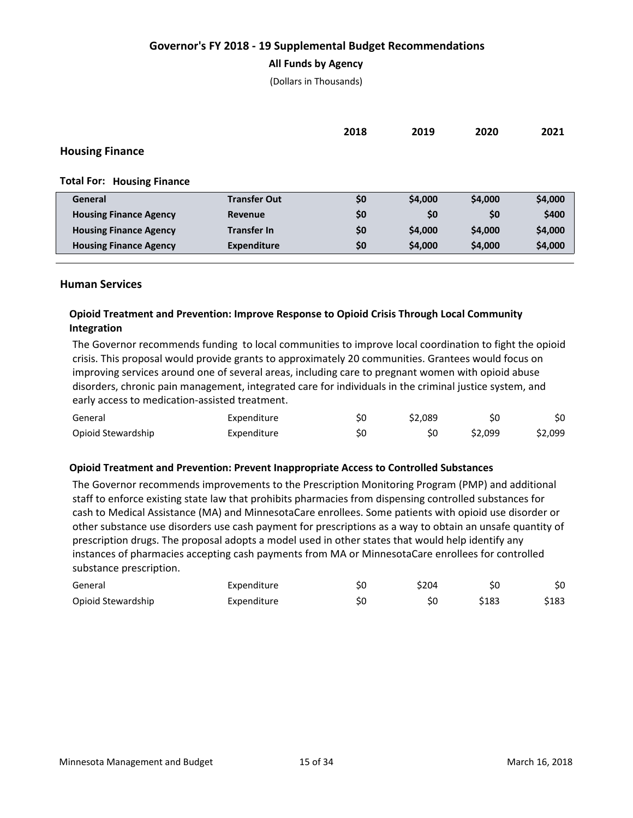### **All Funds by Agency**

(Dollars in Thousands)

|                                   |                     | 2018 | 2019    | 2020    | 2021    |
|-----------------------------------|---------------------|------|---------|---------|---------|
| <b>Housing Finance</b>            |                     |      |         |         |         |
| <b>Total For: Housing Finance</b> |                     |      |         |         |         |
| General                           | <b>Transfer Out</b> | \$0  | \$4,000 | \$4,000 | \$4,000 |
| <b>Housing Finance Agency</b>     | Revenue             | \$0  | \$0     | \$0     | \$400   |
| <b>Housing Finance Agency</b>     | <b>Transfer In</b>  | \$0  | \$4,000 | \$4,000 | \$4,000 |
| <b>Housing Finance Agency</b>     | <b>Expenditure</b>  | \$0  | \$4,000 | \$4,000 | \$4,000 |

## **Human Services**

# **Opioid Treatment and Prevention: Improve Response to Opioid Crisis Through Local Community Integration**

The Governor recommends funding to local communities to improve local coordination to fight the opioid crisis. This proposal would provide grants to approximately 20 communities. Grantees would focus on improving services around one of several areas, including care to pregnant women with opioid abuse disorders, chronic pain management, integrated care for individuals in the criminal justice system, and early access to medication-assisted treatment.

| General            | Expenditure | S0 | \$2.089 | Ś0      | \$0     |
|--------------------|-------------|----|---------|---------|---------|
| Opioid Stewardship | Expenditure | Ś0 |         | \$2,099 | \$2,099 |

#### **Opioid Treatment and Prevention: Prevent Inappropriate Access to Controlled Substances**

The Governor recommends improvements to the Prescription Monitoring Program (PMP) and additional staff to enforce existing state law that prohibits pharmacies from dispensing controlled substances for cash to Medical Assistance (MA) and MinnesotaCare enrollees. Some patients with opioid use disorder or other substance use disorders use cash payment for prescriptions as a way to obtain an unsafe quantity of prescription drugs. The proposal adopts a model used in other states that would help identify any instances of pharmacies accepting cash payments from MA or MinnesotaCare enrollees for controlled substance prescription.

| General            | Expenditure | S0 | \$204 | S0    | \$0   |
|--------------------|-------------|----|-------|-------|-------|
| Opioid Stewardship | Expenditure | Ś0 | SC    | \$183 | \$183 |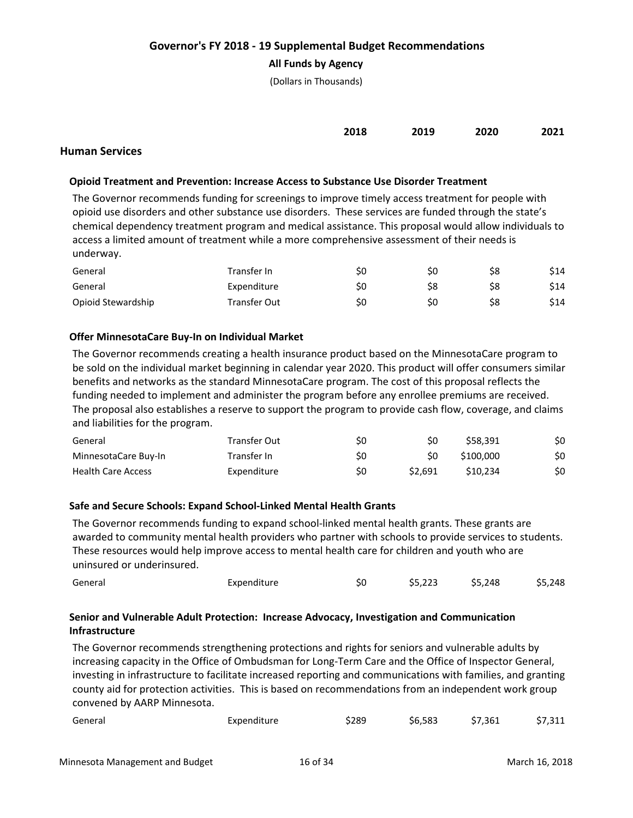## **All Funds by Agency**

(Dollars in Thousands)

| 2018 | 2019 | 2020 | 2021 |
|------|------|------|------|
|      |      |      |      |

## **Human Services**

## **Opioid Treatment and Prevention: Increase Access to Substance Use Disorder Treatment**

The Governor recommends funding for screenings to improve timely access treatment for people with opioid use disorders and other substance use disorders. These services are funded through the state's chemical dependency treatment program and medical assistance. This proposal would allow individuals to access a limited amount of treatment while a more comprehensive assessment of their needs is underway.

| General            | Transfer In  | S0  | ŚС | Ś8 | \$14 |
|--------------------|--------------|-----|----|----|------|
| General            | Expenditure  | \$0 | S8 | S8 | \$14 |
| Opioid Stewardship | Transfer Out | S0  | SС | S8 | \$14 |

## **Offer MinnesotaCare Buy-In on Individual Market**

The Governor recommends creating a health insurance product based on the MinnesotaCare program to be sold on the individual market beginning in calendar year 2020. This product will offer consumers similar benefits and networks as the standard MinnesotaCare program. The cost of this proposal reflects the funding needed to implement and administer the program before any enrollee premiums are received. The proposal also establishes a reserve to support the program to provide cash flow, coverage, and claims and liabilities for the program.

| General                   | Transfer Out | \$0 | S0     | S58.391              | \$0 |
|---------------------------|--------------|-----|--------|----------------------|-----|
| MinnesotaCare Buy-In      | Transfer In  | \$0 | S0     | \$100,000            | \$0 |
| <b>Health Care Access</b> | Expenditure  | S0  | S2.691 | S <sub>10</sub> .234 | \$0 |

#### **Safe and Secure Schools: Expand School-Linked Mental Health Grants**

The Governor recommends funding to expand school-linked mental health grants. These grants are awarded to community mental health providers who partner with schools to provide services to students. These resources would help improve access to mental health care for children and youth who are uninsured or underinsured.

| General | Expenditure | \$0 | \$5,223 | \$5,248 | \$5,248 |
|---------|-------------|-----|---------|---------|---------|
|         |             |     |         |         |         |

# **Senior and Vulnerable Adult Protection: Increase Advocacy, Investigation and Communication Infrastructure**

The Governor recommends strengthening protections and rights for seniors and vulnerable adults by increasing capacity in the Office of Ombudsman for Long-Term Care and the Office of Inspector General, investing in infrastructure to facilitate increased reporting and communications with families, and granting county aid for protection activities. This is based on recommendations from an independent work group convened by AARP Minnesota.

| General | Expenditure | \$289 | \$6,583 | \$7,361 | \$7,311 |
|---------|-------------|-------|---------|---------|---------|
|         |             |       |         |         |         |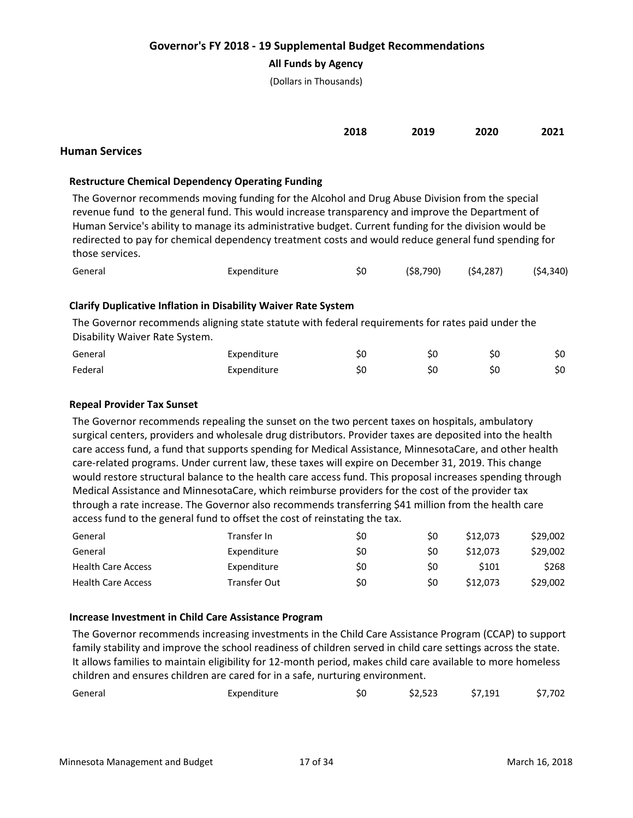### **All Funds by Agency**

(Dollars in Thousands)

| 2018<br>____ | 2019<br>____ | 2020<br>____ | 2021 |
|--------------|--------------|--------------|------|
|              |              |              |      |

## **Human Services**

### **Restructure Chemical Dependency Operating Funding**

The Governor recommends moving funding for the Alcohol and Drug Abuse Division from the special revenue fund to the general fund. This would increase transparency and improve the Department of Human Service's ability to manage its administrative budget. Current funding for the division would be redirected to pay for chemical dependency treatment costs and would reduce general fund spending for those services.

|  | General | Expenditure | \$0 | (\$8,790) | (\$4,287) | (54, 340) |
|--|---------|-------------|-----|-----------|-----------|-----------|
|--|---------|-------------|-----|-----------|-----------|-----------|

## **Clarify Duplicative Inflation in Disability Waiver Rate System**

The Governor recommends aligning state statute with federal requirements for rates paid under the Disability Waiver Rate System.

| General | Expenditure | ŚC | ŚС | \$0 |
|---------|-------------|----|----|-----|
| Federal | Expenditure | ŚС | ŚС | \$0 |

#### **Repeal Provider Tax Sunset**

The Governor recommends repealing the sunset on the two percent taxes on hospitals, ambulatory surgical centers, providers and wholesale drug distributors. Provider taxes are deposited into the health care access fund, a fund that supports spending for Medical Assistance, MinnesotaCare, and other health care-related programs. Under current law, these taxes will expire on December 31, 2019. This change would restore structural balance to the health care access fund. This proposal increases spending through Medical Assistance and MinnesotaCare, which reimburse providers for the cost of the provider tax through a rate increase. The Governor also recommends transferring \$41 million from the health care access fund to the general fund to offset the cost of reinstating the tax.

| General                   | Transfer In  | S0  | S0 | \$12,073 | \$29,002 |
|---------------------------|--------------|-----|----|----------|----------|
| General                   | Expenditure  | S0  | S0 | \$12,073 | \$29,002 |
| <b>Health Care Access</b> | Expenditure  | \$0 | S0 | \$101    | \$268    |
| <b>Health Care Access</b> | Transfer Out | \$0 | S0 | \$12,073 | \$29,002 |

#### **Increase Investment in Child Care Assistance Program**

The Governor recommends increasing investments in the Child Care Assistance Program (CCAP) to support family stability and improve the school readiness of children served in child care settings across the state. It allows families to maintain eligibility for 12-month period, makes child care available to more homeless children and ensures children are cared for in a safe, nurturing environment.

| General | Expenditure | S0 | \$2,523 | \$7,191 | \$7,702 |
|---------|-------------|----|---------|---------|---------|
|         |             |    |         |         |         |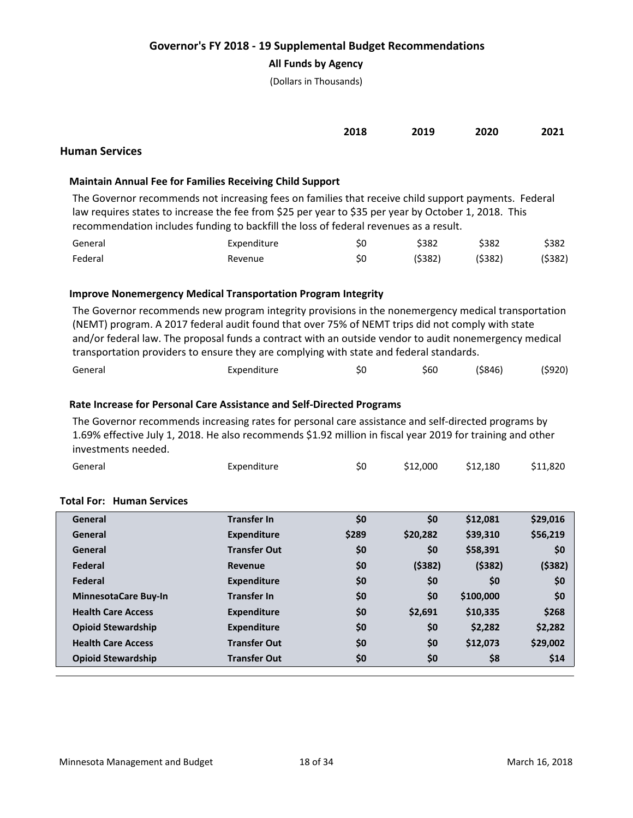### **All Funds by Agency**

(Dollars in Thousands)

| 2018<br>___ | 2019<br>___ | 2020<br>___ | 2021<br>____ |
|-------------|-------------|-------------|--------------|
|             |             |             |              |

# **Human Services**

### **Maintain Annual Fee for Families Receiving Child Support**

The Governor recommends not increasing fees on families that receive child support payments. Federal law requires states to increase the fee from \$25 per year to \$35 per year by October 1, 2018. This recommendation includes funding to backfill the loss of federal revenues as a result.

| General | Expenditure | Ś0 | \$382   | \$382  | \$382.  |
|---------|-------------|----|---------|--------|---------|
| Federal | Revenue     | Ś0 | (\$382) | (5382) | (\$382) |

## **Improve Nonemergency Medical Transportation Program Integrity**

The Governor recommends new program integrity provisions in the nonemergency medical transportation (NEMT) program. A 2017 federal audit found that over 75% of NEMT trips did not comply with state and/or federal law. The proposal funds a contract with an outside vendor to audit nonemergency medical transportation providers to ensure they are complying with state and federal standards.

| General<br>Expenditure | SU | \$60 | (\$846) | (\$920) |
|------------------------|----|------|---------|---------|
|------------------------|----|------|---------|---------|

## **Rate Increase for Personal Care Assistance and Self-Directed Programs**

The Governor recommends increasing rates for personal care assistance and self-directed programs by 1.69% effective July 1, 2018. He also recommends \$1.92 million in fiscal year 2019 for training and other investments needed.

| General                          | Expenditure | \$0 | \$12,000 | \$12.180 | \$11,820 |
|----------------------------------|-------------|-----|----------|----------|----------|
| <b>Total For: Human Services</b> |             |     |          |          |          |

| General                     | <b>Transfer In</b>  | \$0   | \$0      | \$12,081  | \$29,016 |
|-----------------------------|---------------------|-------|----------|-----------|----------|
| General                     | <b>Expenditure</b>  | \$289 | \$20,282 | \$39,310  | \$56,219 |
| General                     | <b>Transfer Out</b> | \$0   | \$0      | \$58,391  | \$0      |
| Federal                     | Revenue             | \$0   | ( \$382) | (5382)    | (5382)   |
| Federal                     | <b>Expenditure</b>  | \$0   | \$0      | \$0       | \$0      |
| <b>MinnesotaCare Buy-In</b> | <b>Transfer In</b>  | \$0   | \$0      | \$100,000 | \$0      |
| <b>Health Care Access</b>   | <b>Expenditure</b>  | \$0   | \$2.691  | \$10.335  | \$268    |
| <b>Opioid Stewardship</b>   | <b>Expenditure</b>  | \$0   | \$0      | \$2,282   | \$2,282  |
| <b>Health Care Access</b>   | <b>Transfer Out</b> | \$0   | \$0      | \$12,073  | \$29,002 |
| <b>Opioid Stewardship</b>   | <b>Transfer Out</b> | \$0   | \$0      | \$8       | \$14     |
|                             |                     |       |          |           |          |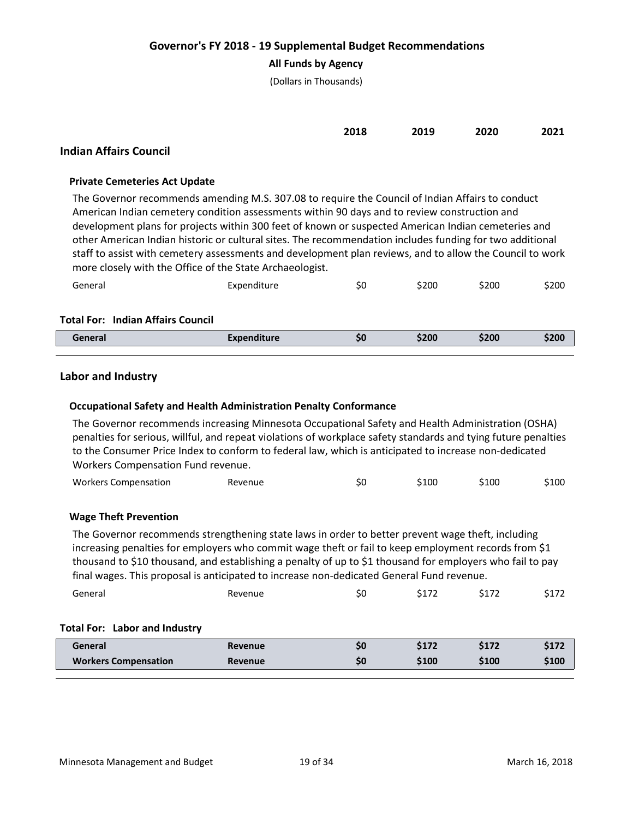## **All Funds by Agency**

(Dollars in Thousands)

| 2018<br>____ | 2019<br>____ | 2020<br>____ | 2021 |
|--------------|--------------|--------------|------|
|              |              |              |      |

# **Indian Affairs Council**

#### **Private Cemeteries Act Update**

The Governor recommends amending M.S. 307.08 to require the Council of Indian Affairs to conduct American Indian cemetery condition assessments within 90 days and to review construction and development plans for projects within 300 feet of known or suspected American Indian cemeteries and other American Indian historic or cultural sites. The recommendation includes funding for two additional staff to assist with cemetery assessments and development plan reviews, and to allow the Council to work more closely with the Office of the State Archaeologist.

| General | Expenditure | 5U | \$200 | \$200 | \$200 |
|---------|-------------|----|-------|-------|-------|
|---------|-------------|----|-------|-------|-------|

#### **Total For: Indian Affairs Council**

| enera. | 50 | SZUU | SZUU | 520 <sub>l</sub> |
|--------|----|------|------|------------------|
|        |    |      |      |                  |

#### **Labor and Industry**

#### **Occupational Safety and Health Administration Penalty Conformance**

The Governor recommends increasing Minnesota Occupational Safety and Health Administration (OSHA) penalties for serious, willful, and repeat violations of workplace safety standards and tying future penalties to the Consumer Price Index to conform to federal law, which is anticipated to increase non-dedicated Workers Compensation Fund revenue.

| <b>Workers Compensation</b><br>Revenue | SU | \$10C | S100 | 100د |
|----------------------------------------|----|-------|------|------|
|----------------------------------------|----|-------|------|------|

#### **Wage Theft Prevention**

The Governor recommends strengthening state laws in order to better prevent wage theft, including increasing penalties for employers who commit wage theft or fail to keep employment records from \$1 thousand to \$10 thousand, and establishing a penalty of up to \$1 thousand for employers who fail to pay final wages. This proposal is anticipated to increase non-dedicated General Fund revenue.

| General                       | Revenue | S0 | \$172 | \$172 | \$172 |
|-------------------------------|---------|----|-------|-------|-------|
|                               |         |    |       |       |       |
| Total For: Labor and Industry |         |    |       |       |       |

| General                     | <b>Revenue</b> | \$172 | \$172 | \$172 |
|-----------------------------|----------------|-------|-------|-------|
| <b>Workers Compensation</b> | Revenue        | \$100 | \$100 | \$100 |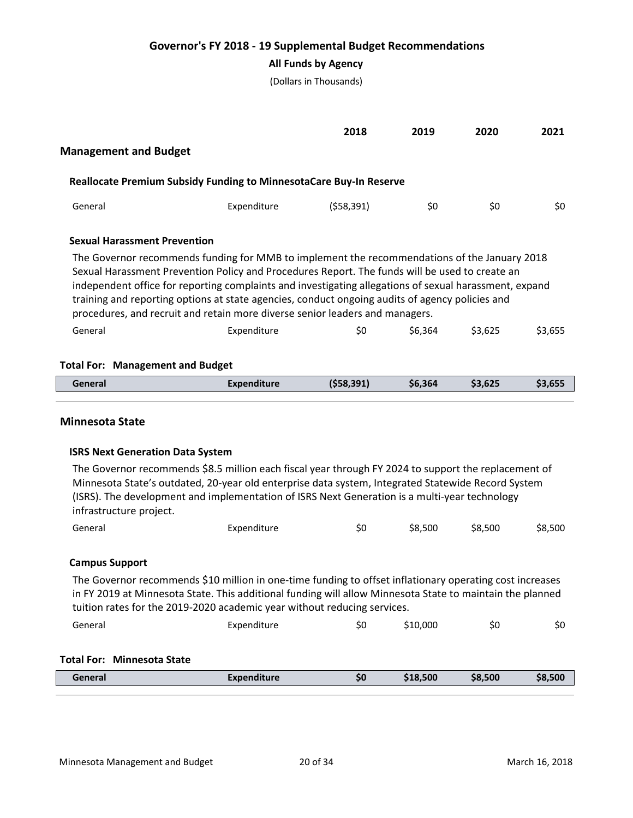## **All Funds by Agency**

(Dollars in Thousands)

|                                         |                                                                                                                                                                                                                                                                                                                                                                                                                                                                                             | 2018       | 2019    | 2020    | 2021    |  |  |  |
|-----------------------------------------|---------------------------------------------------------------------------------------------------------------------------------------------------------------------------------------------------------------------------------------------------------------------------------------------------------------------------------------------------------------------------------------------------------------------------------------------------------------------------------------------|------------|---------|---------|---------|--|--|--|
| <b>Management and Budget</b>            |                                                                                                                                                                                                                                                                                                                                                                                                                                                                                             |            |         |         |         |  |  |  |
|                                         | <b>Reallocate Premium Subsidy Funding to MinnesotaCare Buy-In Reserve</b>                                                                                                                                                                                                                                                                                                                                                                                                                   |            |         |         |         |  |  |  |
| General                                 | Expenditure                                                                                                                                                                                                                                                                                                                                                                                                                                                                                 | (558, 391) | \$0     | \$0     | \$0     |  |  |  |
| <b>Sexual Harassment Prevention</b>     |                                                                                                                                                                                                                                                                                                                                                                                                                                                                                             |            |         |         |         |  |  |  |
|                                         | The Governor recommends funding for MMB to implement the recommendations of the January 2018<br>Sexual Harassment Prevention Policy and Procedures Report. The funds will be used to create an<br>independent office for reporting complaints and investigating allegations of sexual harassment, expand<br>training and reporting options at state agencies, conduct ongoing audits of agency policies and<br>procedures, and recruit and retain more diverse senior leaders and managers. |            |         |         |         |  |  |  |
| General                                 | Expenditure                                                                                                                                                                                                                                                                                                                                                                                                                                                                                 | \$0        | \$6.364 | \$3.625 | \$3.655 |  |  |  |
| <b>Total For: Management and Budget</b> |                                                                                                                                                                                                                                                                                                                                                                                                                                                                                             |            |         |         |         |  |  |  |
| General                                 | <b>Expenditure</b>                                                                                                                                                                                                                                                                                                                                                                                                                                                                          | (558, 391) | \$6,364 | \$3,625 | \$3,655 |  |  |  |
|                                         |                                                                                                                                                                                                                                                                                                                                                                                                                                                                                             |            |         |         |         |  |  |  |

#### **Minnesota State**

#### **ISRS Next Generation Data System**

The Governor recommends \$8.5 million each fiscal year through FY 2024 to support the replacement of Minnesota State's outdated, 20-year old enterprise data system, Integrated Statewide Record System (ISRS). The development and implementation of ISRS Next Generation is a multi-year technology infrastructure project.

| General | Expenditure | S0 | \$8,500 | \$8,500 | \$8,500 |
|---------|-------------|----|---------|---------|---------|
|         |             |    |         |         |         |

#### **Campus Support**

The Governor recommends \$10 million in one-time funding to offset inflationary operating cost increases in FY 2019 at Minnesota State. This additional funding will allow Minnesota State to maintain the planned tuition rates for the 2019-2020 academic year without reducing services.

| General | Expenditure | 5U | \$10,000 | Ś0 | Ś0 |
|---------|-------------|----|----------|----|----|
|---------|-------------|----|----------|----|----|

## **Total For: Minnesota State**

| General | <b>Expenditure</b> | S0 | 18.500 | \$8,500 | \$8,500 |
|---------|--------------------|----|--------|---------|---------|
|         |                    |    |        |         |         |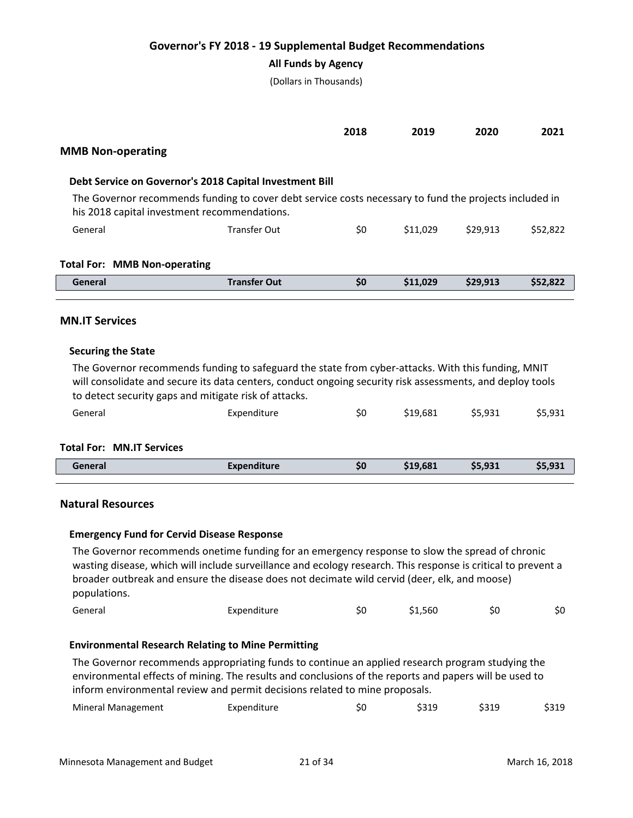#### **All Funds by Agency**

(Dollars in Thousands)

|                                                                                                                                                        |                     | 2018 | 2019     | 2020     | 2021     |
|--------------------------------------------------------------------------------------------------------------------------------------------------------|---------------------|------|----------|----------|----------|
| <b>MMB Non-operating</b>                                                                                                                               |                     |      |          |          |          |
| Debt Service on Governor's 2018 Capital Investment Bill                                                                                                |                     |      |          |          |          |
| The Governor recommends funding to cover debt service costs necessary to fund the projects included in<br>his 2018 capital investment recommendations. |                     |      |          |          |          |
| General                                                                                                                                                | Transfer Out        | \$0  | \$11.029 | \$29.913 | \$52,822 |
| <b>Total For: MMB Non-operating</b>                                                                                                                    |                     |      |          |          |          |
| General                                                                                                                                                | <b>Transfer Out</b> | \$0  | \$11,029 | \$29.913 | \$52,822 |

## **MN.IT Services**

#### **Securing the State**

The Governor recommends funding to safeguard the state from cyber-attacks. With this funding, MNIT will consolidate and secure its data centers, conduct ongoing security risk assessments, and deploy tools to detect security gaps and mitigate risk of attacks.

| General | Expenditure | \$0 | \$19,681 \$5,931 | \$5,931 |
|---------|-------------|-----|------------------|---------|
|         |             |     |                  |         |

## **Total For: MN.IT Services**

| General | <b>Expenditure</b> | \$0 | \$19,681 | \$5,931 | \$5,931 |
|---------|--------------------|-----|----------|---------|---------|
|         |                    |     |          |         |         |

#### **Natural Resources**

#### **Emergency Fund for Cervid Disease Response**

The Governor recommends onetime funding for an emergency response to slow the spread of chronic wasting disease, which will include surveillance and ecology research. This response is critical to prevent a broader outbreak and ensure the disease does not decimate wild cervid (deer, elk, and moose) populations.

| \$1,560<br>General<br>Ś0<br>Expenditure<br>5U |  |  |  |  |  |  | Ś0 |
|-----------------------------------------------|--|--|--|--|--|--|----|
|-----------------------------------------------|--|--|--|--|--|--|----|

#### **Environmental Research Relating to Mine Permitting**

The Governor recommends appropriating funds to continue an applied research program studying the environmental effects of mining. The results and conclusions of the reports and papers will be used to inform environmental review and permit decisions related to mine proposals.

| <b>Mineral Management</b> | Expenditure | SU | \$319 | \$319 | \$319 |
|---------------------------|-------------|----|-------|-------|-------|
|---------------------------|-------------|----|-------|-------|-------|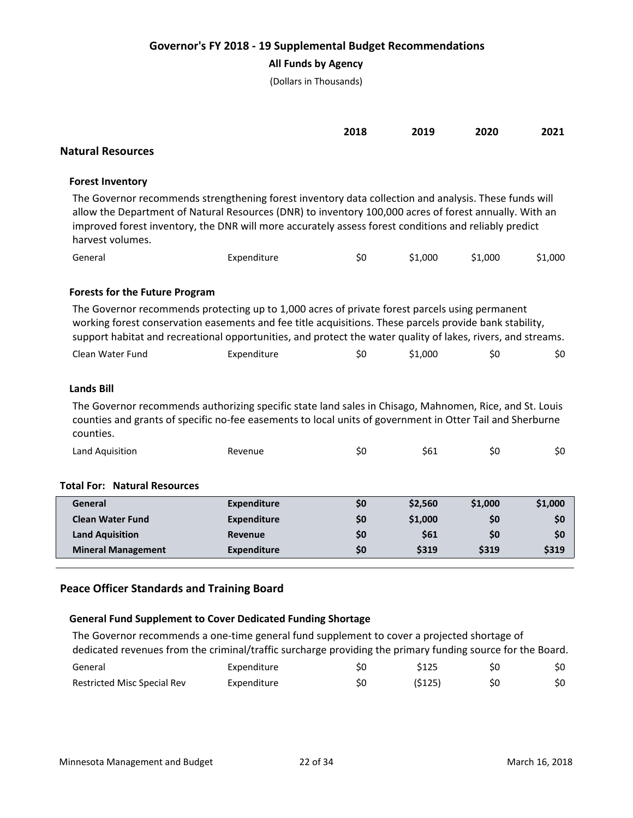# **All Funds by Agency**

(Dollars in Thousands)

| <b>Natural Resources</b>                                                                                                                                                                                                                                                                                                                     |                                                                                                                                                                                                                                                                                                                           | 2018 | 2019    | 2020    | 2021    |  |  |  |
|----------------------------------------------------------------------------------------------------------------------------------------------------------------------------------------------------------------------------------------------------------------------------------------------------------------------------------------------|---------------------------------------------------------------------------------------------------------------------------------------------------------------------------------------------------------------------------------------------------------------------------------------------------------------------------|------|---------|---------|---------|--|--|--|
| <b>Forest Inventory</b>                                                                                                                                                                                                                                                                                                                      |                                                                                                                                                                                                                                                                                                                           |      |         |         |         |  |  |  |
| The Governor recommends strengthening forest inventory data collection and analysis. These funds will<br>allow the Department of Natural Resources (DNR) to inventory 100,000 acres of forest annually. With an<br>improved forest inventory, the DNR will more accurately assess forest conditions and reliably predict<br>harvest volumes. |                                                                                                                                                                                                                                                                                                                           |      |         |         |         |  |  |  |
| General                                                                                                                                                                                                                                                                                                                                      | Expenditure                                                                                                                                                                                                                                                                                                               | \$0  | \$1,000 | \$1,000 | \$1,000 |  |  |  |
| <b>Forests for the Future Program</b>                                                                                                                                                                                                                                                                                                        | The Governor recommends protecting up to 1,000 acres of private forest parcels using permanent<br>working forest conservation easements and fee title acquisitions. These parcels provide bank stability,<br>support habitat and recreational opportunities, and protect the water quality of lakes, rivers, and streams. |      |         |         |         |  |  |  |
| Clean Water Fund                                                                                                                                                                                                                                                                                                                             | Expenditure                                                                                                                                                                                                                                                                                                               | \$0  | \$1,000 | \$0     | \$0     |  |  |  |
| <b>Lands Bill</b><br>The Governor recommends authorizing specific state land sales in Chisago, Mahnomen, Rice, and St. Louis<br>counties and grants of specific no-fee easements to local units of government in Otter Tail and Sherburne<br>counties.                                                                                       |                                                                                                                                                                                                                                                                                                                           |      |         |         |         |  |  |  |
| Land Aquisition                                                                                                                                                                                                                                                                                                                              | Revenue                                                                                                                                                                                                                                                                                                                   | \$0  | \$61    | \$0     | \$0     |  |  |  |
| <b>Total For: Natural Resources</b>                                                                                                                                                                                                                                                                                                          |                                                                                                                                                                                                                                                                                                                           |      |         |         |         |  |  |  |
| General                                                                                                                                                                                                                                                                                                                                      | <b>Expenditure</b>                                                                                                                                                                                                                                                                                                        | \$0  | \$2,560 | \$1,000 | \$1,000 |  |  |  |
| <b>Clean Water Fund</b>                                                                                                                                                                                                                                                                                                                      | <b>Expenditure</b>                                                                                                                                                                                                                                                                                                        | \$0  | \$1,000 | \$0     | \$0     |  |  |  |
| <b>Land Aquisition</b>                                                                                                                                                                                                                                                                                                                       | <b>Revenue</b>                                                                                                                                                                                                                                                                                                            | \$0  | \$61    | \$0     | \$0     |  |  |  |
| <b>Mineral Management</b>                                                                                                                                                                                                                                                                                                                    | <b>Expenditure</b>                                                                                                                                                                                                                                                                                                        | \$0  | \$319   | \$319   | \$319   |  |  |  |

# **Peace Officer Standards and Training Board**

# **General Fund Supplement to Cover Dedicated Funding Shortage**

The Governor recommends a one-time general fund supplement to cover a projected shortage of dedicated revenues from the criminal/traffic surcharge providing the primary funding source for the Board.

| General                     | Expenditure | \$125  | S0 | \$0 |
|-----------------------------|-------------|--------|----|-----|
| Restricted Misc Special Rev | Expenditure | (S125) | S0 |     |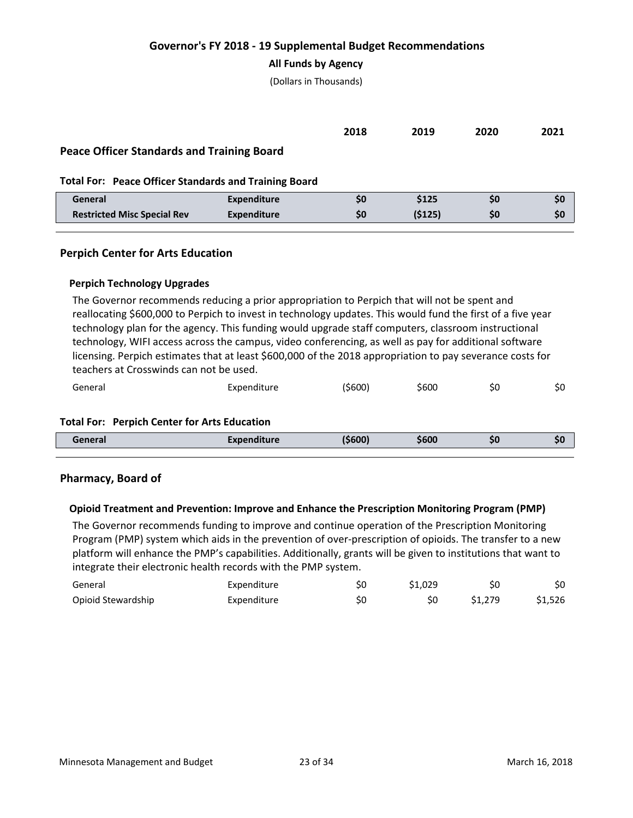#### **All Funds by Agency**

(Dollars in Thousands)

|                                                              |                    | 2018 | 2019   | 2020 | 2021 |  |
|--------------------------------------------------------------|--------------------|------|--------|------|------|--|
| <b>Peace Officer Standards and Training Board</b>            |                    |      |        |      |      |  |
| <b>Total For: Peace Officer Standards and Training Board</b> |                    |      |        |      |      |  |
| General                                                      | <b>Expenditure</b> | \$0  | \$125  | \$0  | \$0  |  |
| <b>Restricted Misc Special Rev</b>                           | <b>Expenditure</b> | \$0  | (5125) | SO.  | \$0  |  |
|                                                              |                    |      |        |      |      |  |

## **Perpich Center for Arts Education**

#### **Perpich Technology Upgrades**

The Governor recommends reducing a prior appropriation to Perpich that will not be spent and reallocating \$600,000 to Perpich to invest in technology updates. This would fund the first of a five year technology plan for the agency. This funding would upgrade staff computers, classroom instructional technology, WIFI access across the campus, video conferencing, as well as pay for additional software licensing. Perpich estimates that at least \$600,000 of the 2018 appropriation to pay severance costs for teachers at Crosswinds can not be used.

| General | Expenditure | '\$600) | \$600 | эu | 5U. |
|---------|-------------|---------|-------|----|-----|
|         |             |         |       |    |     |

#### **Total For: Perpich Center for Arts Education**

| ieneral<br>_ _ _ _ | Evannadikuwa<br>enaiture<br>ьv<br>. <del>.</del> <b>. . . .</b> | החה: | \$600 | 50 | . .<br>J, |
|--------------------|-----------------------------------------------------------------|------|-------|----|-----------|
|                    |                                                                 |      |       |    |           |

#### **Pharmacy, Board of**

#### **Opioid Treatment and Prevention: Improve and Enhance the Prescription Monitoring Program (PMP)**

The Governor recommends funding to improve and continue operation of the Prescription Monitoring Program (PMP) system which aids in the prevention of over-prescription of opioids. The transfer to a new platform will enhance the PMP's capabilities. Additionally, grants will be given to institutions that want to integrate their electronic health records with the PMP system.

| General            | Expenditure | S0 | \$1.029 | S0      | \$0     |
|--------------------|-------------|----|---------|---------|---------|
| Opioid Stewardship | Expenditure | S0 |         | \$1.279 | \$1.526 |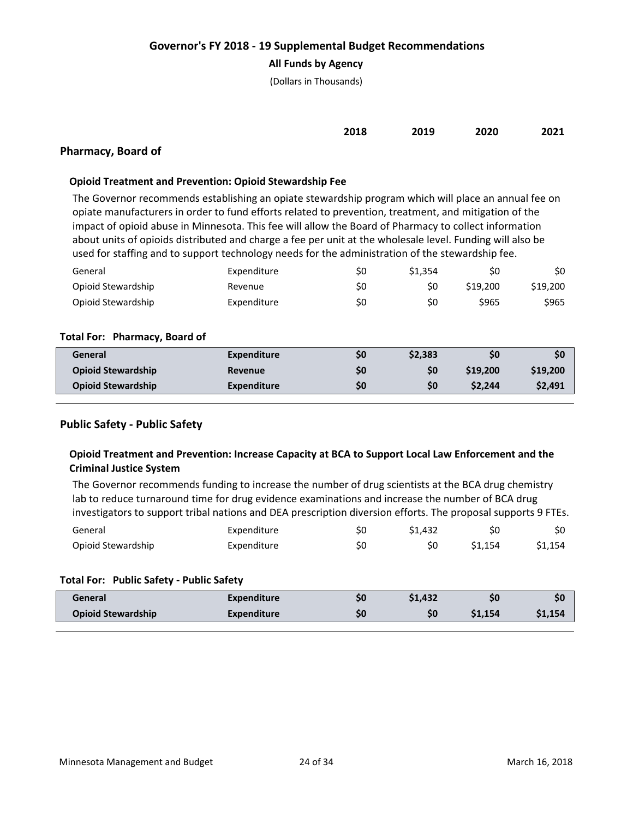### **All Funds by Agency**

(Dollars in Thousands)

| 2018 | 2020 | 2021 |
|------|------|------|
|      | 2019 |      |

# **Pharmacy, Board of**

### **Opioid Treatment and Prevention: Opioid Stewardship Fee**

The Governor recommends establishing an opiate stewardship program which will place an annual fee on opiate manufacturers in order to fund efforts related to prevention, treatment, and mitigation of the impact of opioid abuse in Minnesota. This fee will allow the Board of Pharmacy to collect information about units of opioids distributed and charge a fee per unit at the wholesale level. Funding will also be used for staffing and to support technology needs for the administration of the stewardship fee.

| General            | Expenditure | S0 | \$1.354 | Ś0      | \$0      |
|--------------------|-------------|----|---------|---------|----------|
| Opioid Stewardship | Revenue     | S0 | S0      | S19.200 | \$19,200 |
| Opioid Stewardship | Expenditure | S0 | ŚС      | \$965   | \$965    |

#### **Total For: Pharmacy, Board of**

| General                   | <b>Expenditure</b> | S0  | \$2.383 | \$0      | \$0      |
|---------------------------|--------------------|-----|---------|----------|----------|
| <b>Opioid Stewardship</b> | <b>Revenue</b>     | \$0 | \$0     | \$19,200 | \$19,200 |
| <b>Opioid Stewardship</b> | Expenditure        | \$0 | \$0     | \$2,244  | \$2,491  |

## **Public Safety - Public Safety**

# **Opioid Treatment and Prevention: Increase Capacity at BCA to Support Local Law Enforcement and the Criminal Justice System**

The Governor recommends funding to increase the number of drug scientists at the BCA drug chemistry lab to reduce turnaround time for drug evidence examinations and increase the number of BCA drug investigators to support tribal nations and DEA prescription diversion efforts. The proposal supports 9 FTEs.

| General            | Expenditure |    | \$1.432 |         | SO.    |
|--------------------|-------------|----|---------|---------|--------|
| Opioid Stewardship | Expenditure | S0 |         | \$1.154 | S1.154 |

#### **Total For: Public Safety - Public Safety**

| General                   | <b>Expenditure</b> | 50 | \$1,432 |         | \$0     |
|---------------------------|--------------------|----|---------|---------|---------|
| <b>Opioid Stewardship</b> | <b>Expenditure</b> | 50 | \$0     | \$1,154 | \$1,154 |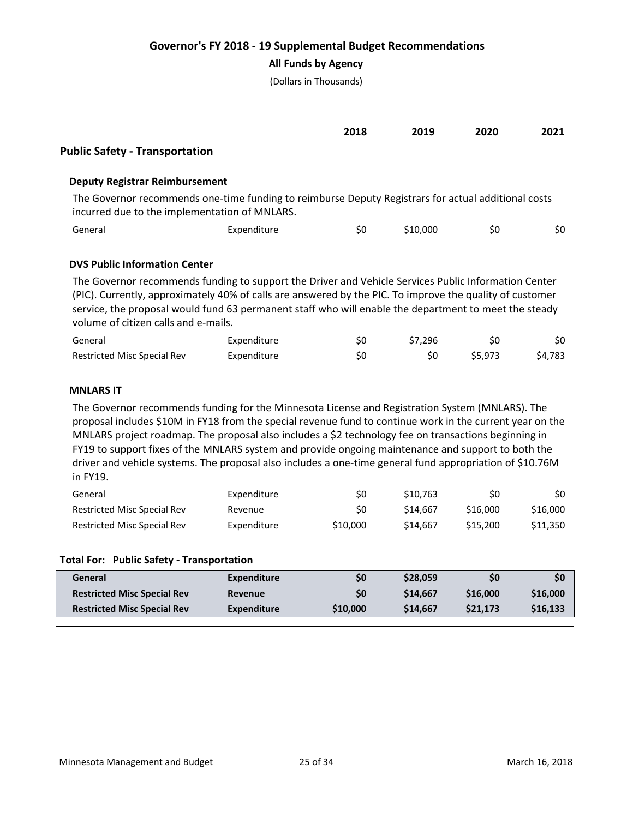**All Funds by Agency**

(Dollars in Thousands)

|                                       |                                                                                                                                                      | 2018 | 2019     | 2020 | 2021 |
|---------------------------------------|------------------------------------------------------------------------------------------------------------------------------------------------------|------|----------|------|------|
| <b>Public Safety - Transportation</b> |                                                                                                                                                      |      |          |      |      |
| <b>Deputy Registrar Reimbursement</b> |                                                                                                                                                      |      |          |      |      |
|                                       | The Governor recommends one-time funding to reimburse Deputy Registrars for actual additional costs<br>incurred due to the implementation of MNLARS. |      |          |      |      |
| General                               | Expenditure                                                                                                                                          | \$0  | \$10,000 | \$0  | \$0  |
|                                       |                                                                                                                                                      |      |          |      |      |

## **DVS Public Information Center**

The Governor recommends funding to support the Driver and Vehicle Services Public Information Center (PIC). Currently, approximately 40% of calls are answered by the PIC. To improve the quality of customer service, the proposal would fund 63 permanent staff who will enable the department to meet the steady volume of citizen calls and e-mails.

| General                            | Expenditure | S0 | \$7.296 |         | \$0     |
|------------------------------------|-------------|----|---------|---------|---------|
| <b>Restricted Misc Special Rev</b> | Expenditure | S0 |         | \$5.973 | \$4,783 |

## **MNLARS IT**

The Governor recommends funding for the Minnesota License and Registration System (MNLARS). The proposal includes \$10M in FY18 from the special revenue fund to continue work in the current year on the MNLARS project roadmap. The proposal also includes a \$2 technology fee on transactions beginning in FY19 to support fixes of the MNLARS system and provide ongoing maintenance and support to both the driver and vehicle systems. The proposal also includes a one-time general fund appropriation of \$10.76M in FY19.

| General                     | Expenditure | S0       | \$10.763            | S0       | SO.      |
|-----------------------------|-------------|----------|---------------------|----------|----------|
| Restricted Misc Special Rev | Revenue     | S0       | \$14.667            | \$16,000 | \$16,000 |
| Restricted Misc Special Rev | Expenditure | \$10,000 | S <sub>14.667</sub> | \$15,200 | \$11,350 |

#### **Total For: Public Safety - Transportation**

| General                            | Expenditure        | S0       | \$28,059 | S0       | \$0      |
|------------------------------------|--------------------|----------|----------|----------|----------|
| <b>Restricted Misc Special Rev</b> | <b>Revenue</b>     | \$0      | \$14,667 | \$16,000 | \$16,000 |
| <b>Restricted Misc Special Rev</b> | <b>Expenditure</b> | \$10,000 | \$14,667 | \$21.173 | \$16,133 |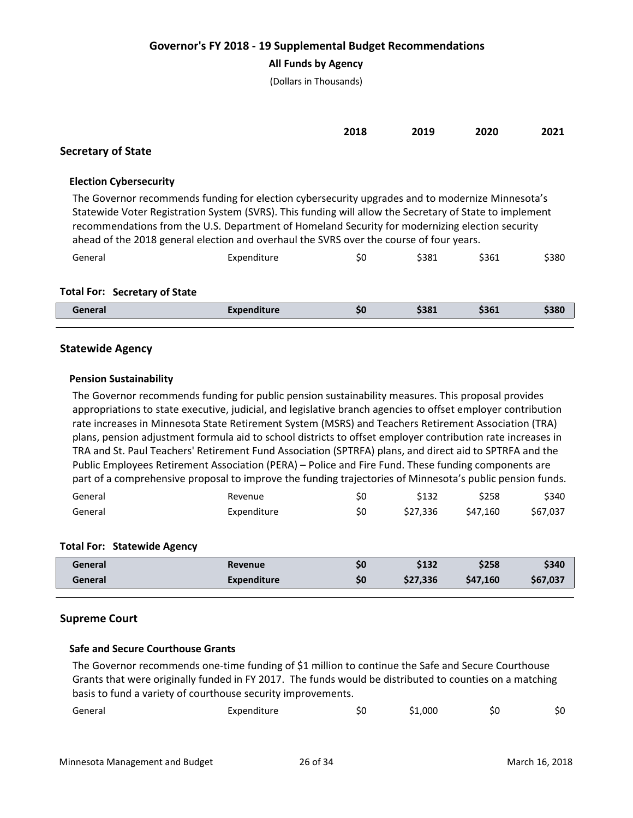## **All Funds by Agency**

(Dollars in Thousands)

|                           | 2018 | 2019 | 2020 | 2021 |
|---------------------------|------|------|------|------|
| <b>Secretary of State</b> |      |      |      |      |

## **Election Cybersecurity**

The Governor recommends funding for election cybersecurity upgrades and to modernize Minnesota's Statewide Voter Registration System (SVRS). This funding will allow the Secretary of State to implement recommendations from the U.S. Department of Homeland Security for modernizing election security ahead of the 2018 general election and overhaul the SVRS over the course of four years.

| General | Expenditure | \$0 | \$381 | \$361 | \$380 |
|---------|-------------|-----|-------|-------|-------|
|         |             |     |       |       |       |

# **Total For: Secretary of State**

| General | -----<br>.<br>uunture. | S0 | \$381 | $50+$ | \$380 |
|---------|------------------------|----|-------|-------|-------|
|         |                        |    |       |       |       |

## **Statewide Agency**

## **Pension Sustainability**

The Governor recommends funding for public pension sustainability measures. This proposal provides appropriations to state executive, judicial, and legislative branch agencies to offset employer contribution rate increases in Minnesota State Retirement System (MSRS) and Teachers Retirement Association (TRA) plans, pension adjustment formula aid to school districts to offset employer contribution rate increases in TRA and St. Paul Teachers' Retirement Fund Association (SPTRFA) plans, and direct aid to SPTRFA and the Public Employees Retirement Association (PERA) – Police and Fire Fund. These funding components are part of a comprehensive proposal to improve the funding trajectories of Minnesota's public pension funds.

| General | Revenue     | S0 | \$132    | \$258    | \$340    |
|---------|-------------|----|----------|----------|----------|
| General | Expenditure | S0 | \$27.336 | \$47.160 | \$67,037 |

#### **Total For: Statewide Agency**

| General | Revenue            | \$0 | \$132    | \$258    | \$340    |
|---------|--------------------|-----|----------|----------|----------|
| General | <b>Expenditure</b> | \$0 | \$27,336 | \$47.160 | \$67,037 |

#### **Supreme Court**

#### **Safe and Secure Courthouse Grants**

The Governor recommends one-time funding of \$1 million to continue the Safe and Secure Courthouse Grants that were originally funded in FY 2017. The funds would be distributed to counties on a matching basis to fund a variety of courthouse security improvements.

| General<br>Expenditure | าเ เ | ,000 | Ś0 | JU. |
|------------------------|------|------|----|-----|
|------------------------|------|------|----|-----|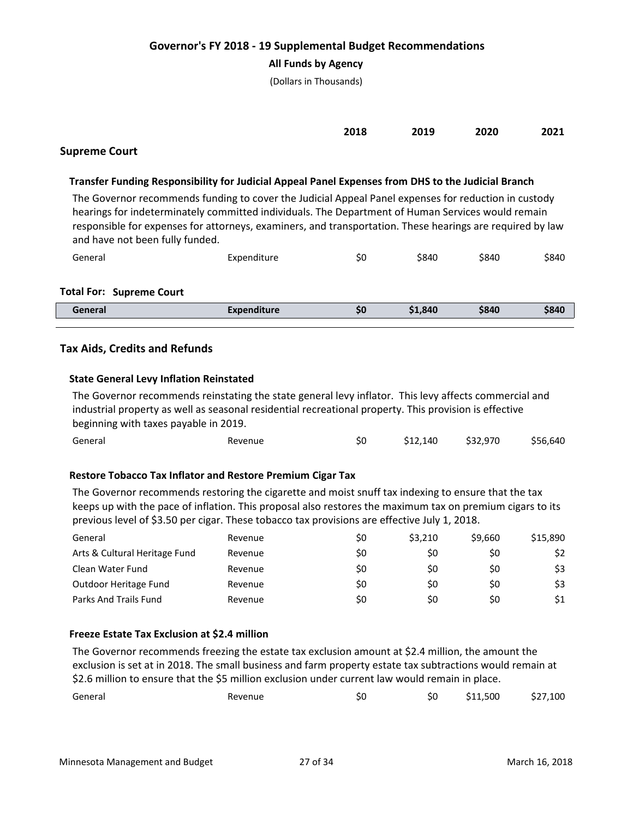## **All Funds by Agency**

(Dollars in Thousands)

|  | 2018 2019 2020 2021 |  |
|--|---------------------|--|
|  |                     |  |

## **Supreme Court**

## **Transfer Funding Responsibility for Judicial Appeal Panel Expenses from DHS to the Judicial Branch**

The Governor recommends funding to cover the Judicial Appeal Panel expenses for reduction in custody hearings for indeterminately committed individuals. The Department of Human Services would remain responsible for expenses for attorneys, examiners, and transportation. These hearings are required by law and have not been fully funded.

| General | Expenditure | S0 | \$840 | \$840 | \$840 |
|---------|-------------|----|-------|-------|-------|
|         |             |    |       |       |       |

#### **Total For: Supreme Court**

| General | Expenditure | \$0 | \$1,840 | \$840 | \$840 |
|---------|-------------|-----|---------|-------|-------|
|         |             |     |         |       |       |

## **Tax Aids, Credits and Refunds**

#### **State General Levy Inflation Reinstated**

The Governor recommends reinstating the state general levy inflator. This levy affects commercial and industrial property as well as seasonal residential recreational property. This provision is effective beginning with taxes payable in 2019.

| General<br>Revenue |  | \$12,140 | \$32,970 | \$56,640 |
|--------------------|--|----------|----------|----------|
|--------------------|--|----------|----------|----------|

## **Restore Tobacco Tax Inflator and Restore Premium Cigar Tax**

The Governor recommends restoring the cigarette and moist snuff tax indexing to ensure that the tax keeps up with the pace of inflation. This proposal also restores the maximum tax on premium cigars to its previous level of \$3.50 per cigar. These tobacco tax provisions are effective July 1, 2018.

| General                       | Revenue | \$0 | \$3.210 | \$9.660 | \$15,890 |
|-------------------------------|---------|-----|---------|---------|----------|
| Arts & Cultural Heritage Fund | Revenue | \$0 | S0      | \$0     | \$2      |
| Clean Water Fund              | Revenue | \$0 | \$0     | \$0     | \$3      |
| Outdoor Heritage Fund         | Revenue | \$0 | S0      | \$0     | \$3      |
| Parks And Trails Fund         | Revenue | \$0 | S0      | \$0     | \$1      |

## **Freeze Estate Tax Exclusion at \$2.4 million**

The Governor recommends freezing the estate tax exclusion amount at \$2.4 million, the amount the exclusion is set at in 2018. The small business and farm property estate tax subtractions would remain at \$2.6 million to ensure that the \$5 million exclusion under current law would remain in place.

| General | Revenue | Ś0 | S0 | \$11,500 | \$27,100 |
|---------|---------|----|----|----------|----------|
|         |         |    |    |          |          |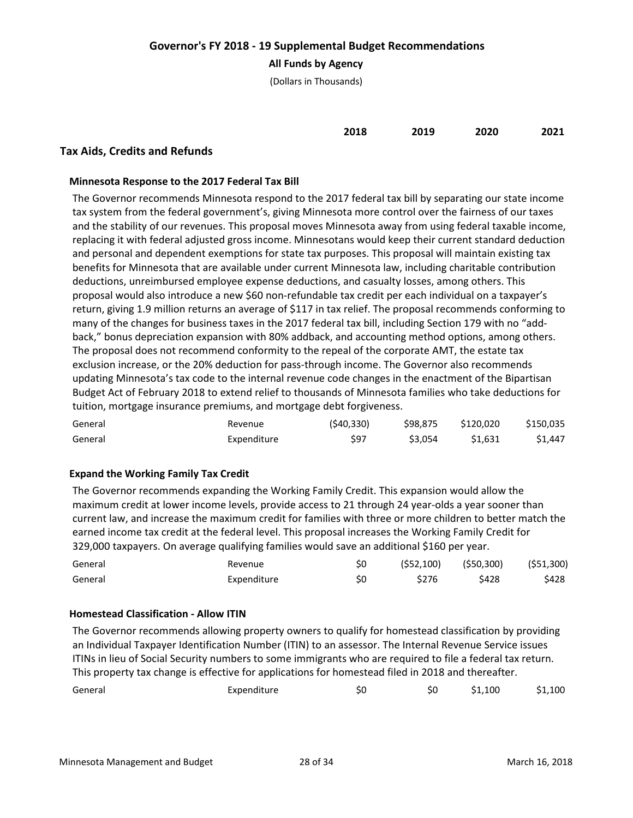## **All Funds by Agency**

(Dollars in Thousands)

| 2018 | 2019 | 2020 | 2021 |
|------|------|------|------|
|      |      |      |      |

## **Tax Aids, Credits and Refunds**

### **Minnesota Response to the 2017 Federal Tax Bill**

The Governor recommends Minnesota respond to the 2017 federal tax bill by separating our state income tax system from the federal government's, giving Minnesota more control over the fairness of our taxes and the stability of our revenues. This proposal moves Minnesota away from using federal taxable income, replacing it with federal adjusted gross income. Minnesotans would keep their current standard deduction and personal and dependent exemptions for state tax purposes. This proposal will maintain existing tax benefits for Minnesota that are available under current Minnesota law, including charitable contribution deductions, unreimbursed employee expense deductions, and casualty losses, among others. This proposal would also introduce a new \$60 non-refundable tax credit per each individual on a taxpayer's return, giving 1.9 million returns an average of \$117 in tax relief. The proposal recommends conforming to many of the changes for business taxes in the 2017 federal tax bill, including Section 179 with no "addback," bonus depreciation expansion with 80% addback, and accounting method options, among others. The proposal does not recommend conformity to the repeal of the corporate AMT, the estate tax exclusion increase, or the 20% deduction for pass-through income. The Governor also recommends updating Minnesota's tax code to the internal revenue code changes in the enactment of the Bipartisan Budget Act of February 2018 to extend relief to thousands of Minnesota families who take deductions for tuition, mortgage insurance premiums, and mortgage debt forgiveness.

| General | Revenue     | (540, 330) | \$98.875 | \$120.020 | \$150,035 |
|---------|-------------|------------|----------|-----------|-----------|
| General | Expenditure | S97        | \$3.054  | \$1.631   | \$1.447   |

## **Expand the Working Family Tax Credit**

The Governor recommends expanding the Working Family Credit. This expansion would allow the maximum credit at lower income levels, provide access to 21 through 24 year-olds a year sooner than current law, and increase the maximum credit for families with three or more children to better match the earned income tax credit at the federal level. This proposal increases the Working Family Credit for 329,000 taxpayers. On average qualifying families would save an additional \$160 per year.

| General | Revenue     |    |       | $(552, 100)$ $(550, 300)$ $(551, 300)$ |       |
|---------|-------------|----|-------|----------------------------------------|-------|
| General | Expenditure | S0 | \$276 | <b>S428</b>                            | \$428 |

#### **Homestead Classification - Allow ITIN**

The Governor recommends allowing property owners to qualify for homestead classification by providing an Individual Taxpayer Identification Number (ITIN) to an assessor. The Internal Revenue Service issues ITINs in lieu of Social Security numbers to some immigrants who are required to file a federal tax return. This property tax change is effective for applications for homestead filed in 2018 and thereafter.

| General | Expenditure | S0 | \$1,100 | \$1,100 |
|---------|-------------|----|---------|---------|
|         |             |    |         |         |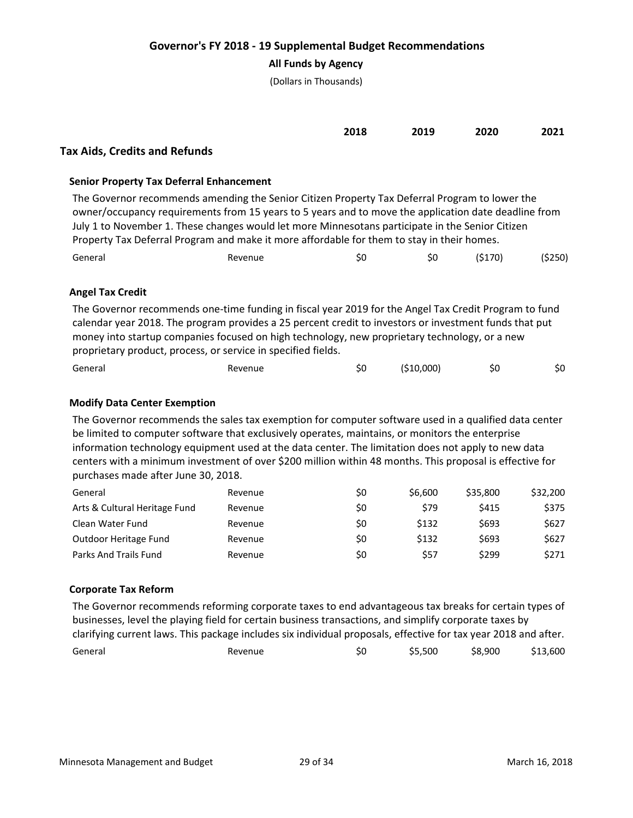## **All Funds by Agency**

(Dollars in Thousands)

|                                      | 2018 | 2019 | 2020 | 2021 |
|--------------------------------------|------|------|------|------|
| <b>Tax Aids, Credits and Refunds</b> |      |      |      |      |

## **Senior Property Tax Deferral Enhancement**

The Governor recommends amending the Senior Citizen Property Tax Deferral Program to lower the owner/occupancy requirements from 15 years to 5 years and to move the application date deadline from July 1 to November 1. These changes would let more Minnesotans participate in the Senior Citizen Property Tax Deferral Program and make it more affordable for them to stay in their homes. General Revenue \$0 \$0 (\$170) (\$250)

## **Angel Tax Credit**

The Governor recommends one-time funding in fiscal year 2019 for the Angel Tax Credit Program to fund calendar year 2018. The program provides a 25 percent credit to investors or investment funds that put money into startup companies focused on high technology, new proprietary technology, or a new proprietary product, process, or service in specified fields.

| General<br>Revenue<br>____ |  | ( \$10,000) | Ś0 | S0 |
|----------------------------|--|-------------|----|----|
|----------------------------|--|-------------|----|----|

## **Modify Data Center Exemption**

The Governor recommends the sales tax exemption for computer software used in a qualified data center be limited to computer software that exclusively operates, maintains, or monitors the enterprise information technology equipment used at the data center. The limitation does not apply to new data centers with a minimum investment of over \$200 million within 48 months. This proposal is effective for purchases made after June 30, 2018.

| General                       | Revenue | \$0 | \$6,600 | \$35,800 | \$32,200 |
|-------------------------------|---------|-----|---------|----------|----------|
| Arts & Cultural Heritage Fund | Revenue | \$0 | \$79    | \$415    | \$375    |
| Clean Water Fund              | Revenue | \$0 | \$132   | \$693    | \$627    |
| Outdoor Heritage Fund         | Revenue | \$0 | \$132   | \$693    | \$627    |
| Parks And Trails Fund         | Revenue | \$0 | \$57    | \$299    | \$271    |

#### **Corporate Tax Reform**

The Governor recommends reforming corporate taxes to end advantageous tax breaks for certain types of businesses, level the playing field for certain business transactions, and simplify corporate taxes by clarifying current laws. This package includes six individual proposals, effective for tax year 2018 and after. General Revenue \$0 \$5,500 \$8,900 \$13,600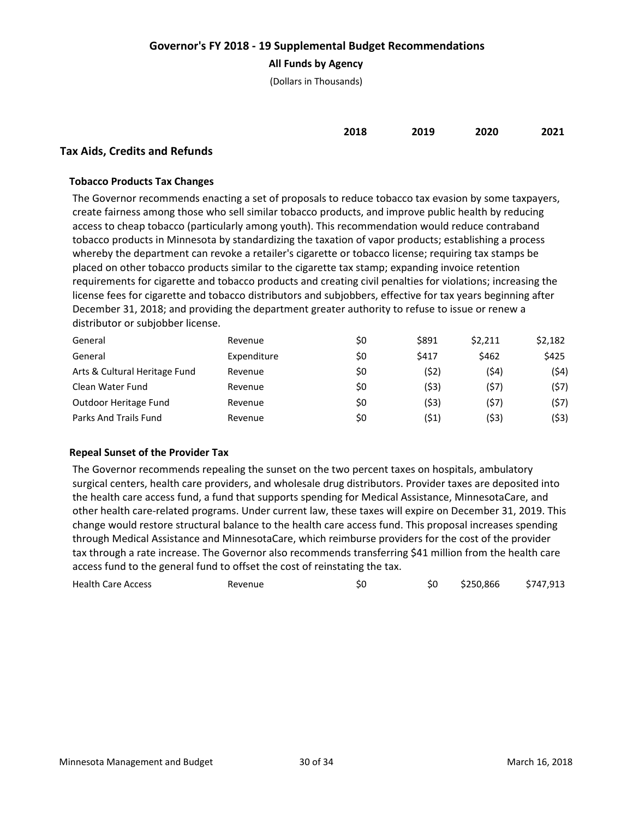## **All Funds by Agency**

(Dollars in Thousands)

| 2018 | 2019 | 2020 | 2021 |
|------|------|------|------|
|      |      |      |      |
|      |      |      |      |

# **Tax Aids, Credits and Refunds**

## **Tobacco Products Tax Changes**

The Governor recommends enacting a set of proposals to reduce tobacco tax evasion by some taxpayers, create fairness among those who sell similar tobacco products, and improve public health by reducing access to cheap tobacco (particularly among youth). This recommendation would reduce contraband tobacco products in Minnesota by standardizing the taxation of vapor products; establishing a process whereby the department can revoke a retailer's cigarette or tobacco license; requiring tax stamps be placed on other tobacco products similar to the cigarette tax stamp; expanding invoice retention requirements for cigarette and tobacco products and creating civil penalties for violations; increasing the license fees for cigarette and tobacco distributors and subjobbers, effective for tax years beginning after December 31, 2018; and providing the department greater authority to refuse to issue or renew a distributor or subjobber license.

| General                       | Revenue     | \$0 | \$891 | \$2.211 | \$2,182 |
|-------------------------------|-------------|-----|-------|---------|---------|
| General                       | Expenditure | \$0 | \$417 | \$462   | \$425   |
| Arts & Cultural Heritage Fund | Revenue     | \$0 | (52)  | (\$4)   | (54)    |
| Clean Water Fund              | Revenue     | \$0 | (53)  | (\$7)   | (57)    |
| Outdoor Heritage Fund         | Revenue     | \$0 | (\$3) | (\$7)   | (\$7)   |
| Parks And Trails Fund         | Revenue     | \$0 | (\$1) | (\$3)   | (\$3)   |

## **Repeal Sunset of the Provider Tax**

The Governor recommends repealing the sunset on the two percent taxes on hospitals, ambulatory surgical centers, health care providers, and wholesale drug distributors. Provider taxes are deposited into the health care access fund, a fund that supports spending for Medical Assistance, MinnesotaCare, and other health care-related programs. Under current law, these taxes will expire on December 31, 2019. This change would restore structural balance to the health care access fund. This proposal increases spending through Medical Assistance and MinnesotaCare, which reimburse providers for the cost of the provider tax through a rate increase. The Governor also recommends transferring \$41 million from the health care access fund to the general fund to offset the cost of reinstating the tax.

| <b>Health Care Access</b><br>Revenue |  |  | \$250,866 | \$747,913 |
|--------------------------------------|--|--|-----------|-----------|
|--------------------------------------|--|--|-----------|-----------|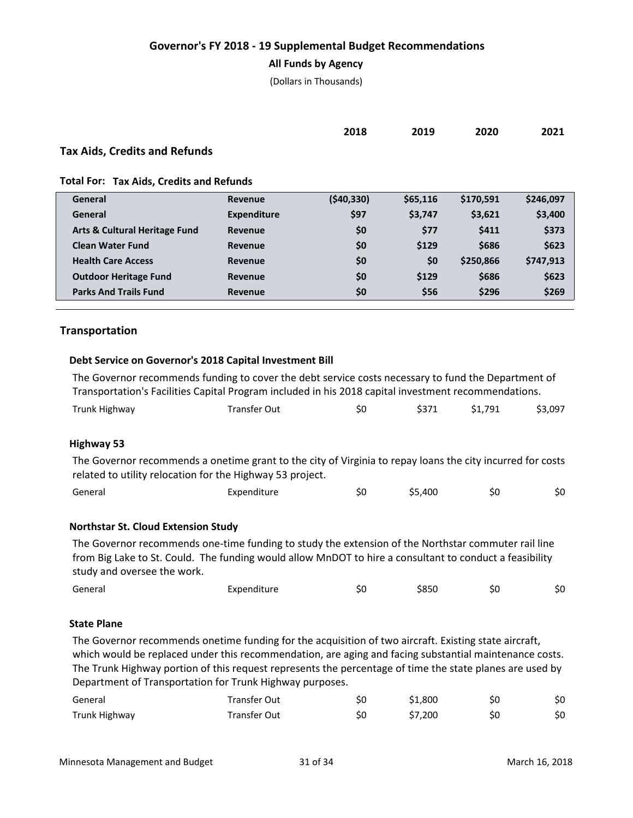#### **All Funds by Agency**

(Dollars in Thousands)

| 2018<br>___ | 2019<br>___ | 2020<br>___ | 2021 |
|-------------|-------------|-------------|------|
|             |             |             |      |

# **Tax Aids, Credits and Refunds**

**Total For: Tax Aids, Credits and Refunds**

| General                                  | Revenue     | (540, 330) | \$65,116 | \$170,591 | \$246,097 |
|------------------------------------------|-------------|------------|----------|-----------|-----------|
| General                                  | Expenditure | \$97       | \$3,747  | \$3,621   | \$3,400   |
| <b>Arts &amp; Cultural Heritage Fund</b> | Revenue     | \$0        | \$77     | \$411     | \$373     |
| <b>Clean Water Fund</b>                  | Revenue     | \$0        | \$129    | \$686     | \$623     |
| <b>Health Care Access</b>                | Revenue     | \$0        | \$0      | \$250,866 | \$747,913 |
| <b>Outdoor Heritage Fund</b>             | Revenue     | \$0        | \$129    | \$686     | \$623     |
| <b>Parks And Trails Fund</b>             | Revenue     | \$0        | \$56     | \$296     | \$269     |
|                                          |             |            |          |           |           |

## **Transportation**

#### **Debt Service on Governor's 2018 Capital Investment Bill**

The Governor recommends funding to cover the debt service costs necessary to fund the Department of Transportation's Facilities Capital Program included in his 2018 capital investment recommendations.

| Trunk Highway<br>Transfer Out | Ś0 |  | \$1,791 | \$3,097 |
|-------------------------------|----|--|---------|---------|
|-------------------------------|----|--|---------|---------|

#### **Highway 53**

The Governor recommends a onetime grant to the city of Virginia to repay loans the city incurred for costs related to utility relocation for the Highway 53 project.

| General<br>Expenditure |  | \$5,400 | SU | Ś0 |
|------------------------|--|---------|----|----|
|------------------------|--|---------|----|----|

#### **Northstar St. Cloud Extension Study**

The Governor recommends one-time funding to study the extension of the Northstar commuter rail line from Big Lake to St. Could. The funding would allow MnDOT to hire a consultant to conduct a feasibility study and oversee the work.

| General | Expenditure | SU | \$850 | Ś0 | \$0 |
|---------|-------------|----|-------|----|-----|
|---------|-------------|----|-------|----|-----|

#### **State Plane**

The Governor recommends onetime funding for the acquisition of two aircraft. Existing state aircraft, which would be replaced under this recommendation, are aging and facing substantial maintenance costs. The Trunk Highway portion of this request represents the percentage of time the state planes are used by Department of Transportation for Trunk Highway purposes.

| General       | <b>Transfer Out</b> | Ś0 | \$1,800 | S0 | \$0 |
|---------------|---------------------|----|---------|----|-----|
| Trunk Highway | Transfer Out        | S0 | \$7.200 | S0 | \$0 |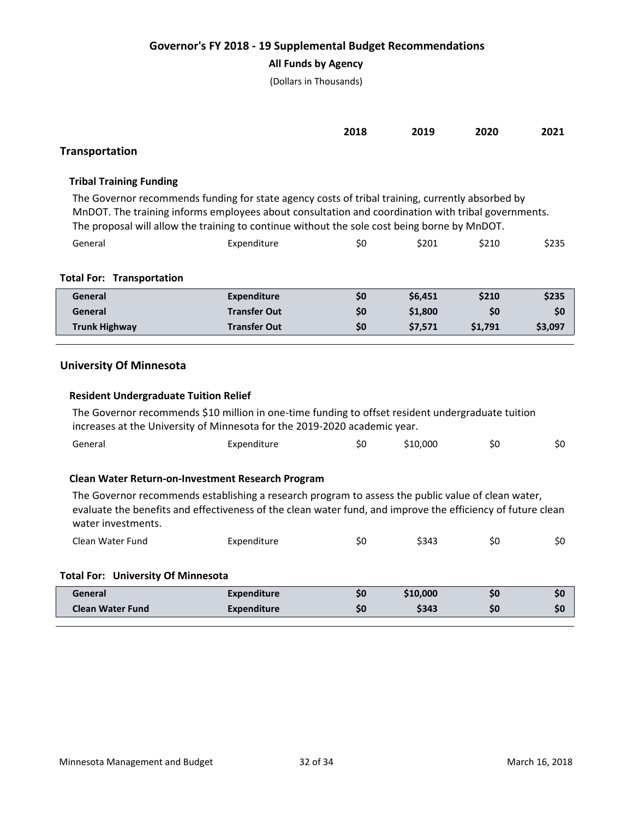# **All Funds by Agency**

(Dollars in Thousands)

|                                                                                                                                                                                                                                                                                                        |                     | 2018 | 2019     | 2020    | 2021    |  |  |
|--------------------------------------------------------------------------------------------------------------------------------------------------------------------------------------------------------------------------------------------------------------------------------------------------------|---------------------|------|----------|---------|---------|--|--|
| Transportation                                                                                                                                                                                                                                                                                         |                     |      |          |         |         |  |  |
| <b>Tribal Training Funding</b>                                                                                                                                                                                                                                                                         |                     |      |          |         |         |  |  |
| The Governor recommends funding for state agency costs of tribal training, currently absorbed by<br>MnDOT. The training informs employees about consultation and coordination with tribal governments.<br>The proposal will allow the training to continue without the sole cost being borne by MnDOT. |                     |      |          |         |         |  |  |
| General                                                                                                                                                                                                                                                                                                | Expenditure         | \$0  | \$201    | \$210   | \$235   |  |  |
| <b>Total For: Transportation</b>                                                                                                                                                                                                                                                                       |                     |      |          |         |         |  |  |
| General                                                                                                                                                                                                                                                                                                | <b>Expenditure</b>  | \$0  | \$6,451  | \$210   | \$235   |  |  |
| General                                                                                                                                                                                                                                                                                                | <b>Transfer Out</b> | \$0  | \$1,800  | \$0     | \$0     |  |  |
| <b>Trunk Highway</b>                                                                                                                                                                                                                                                                                   | <b>Transfer Out</b> | \$0  | \$7,571  | \$1,791 | \$3,097 |  |  |
| <b>University Of Minnesota</b><br><b>Resident Undergraduate Tuition Relief</b><br>The Governor recommends \$10 million in one-time funding to offset resident undergraduate tuition<br>increases at the University of Minnesota for the 2019-2020 academic year.                                       |                     |      |          |         |         |  |  |
| General                                                                                                                                                                                                                                                                                                | Expenditure         | \$0  | \$10,000 | \$0     | \$0     |  |  |
| Clean Water Return-on-Investment Research Program<br>The Governor recommends establishing a research program to assess the public value of clean water,<br>evaluate the benefits and effectiveness of the clean water fund, and improve the efficiency of future clean<br>water investments.           |                     |      |          |         |         |  |  |
| Clean Water Fund                                                                                                                                                                                                                                                                                       | Expenditure         | \$0  | \$343    | \$0     | \$0     |  |  |
| <b>Total For: University Of Minnesota</b>                                                                                                                                                                                                                                                              |                     |      |          |         |         |  |  |
| General                                                                                                                                                                                                                                                                                                | <b>Expenditure</b>  | \$0  | \$10,000 | \$0     | \$0     |  |  |
| <b>Clean Water Fund</b>                                                                                                                                                                                                                                                                                | <b>Expenditure</b>  | \$0  | \$343    | \$0     | \$0     |  |  |
|                                                                                                                                                                                                                                                                                                        |                     |      |          |         |         |  |  |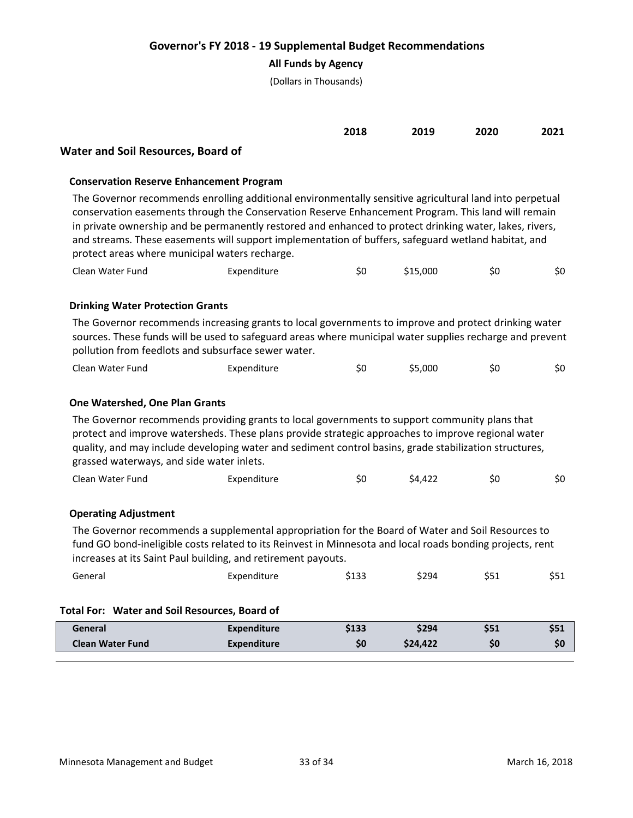## **All Funds by Agency**

(Dollars in Thousands)

| 2018 | 2019 | 2020 | 2021 |
|------|------|------|------|
|      |      |      |      |

## **Water and Soil Resources, Board of**

### **Conservation Reserve Enhancement Program**

The Governor recommends enrolling additional environmentally sensitive agricultural land into perpetual conservation easements through the Conservation Reserve Enhancement Program. This land will remain in private ownership and be permanently restored and enhanced to protect drinking water, lakes, rivers, and streams. These easements will support implementation of buffers, safeguard wetland habitat, and protect areas where municipal waters recharge.

| Clean Water Fund | Expenditure | Ś0 | \$15,000 |  | \$0 |
|------------------|-------------|----|----------|--|-----|
|------------------|-------------|----|----------|--|-----|

## **Drinking Water Protection Grants**

The Governor recommends increasing grants to local governments to improve and protect drinking water sources. These funds will be used to safeguard areas where municipal water supplies recharge and prevent pollution from feedlots and subsurface sewer water.

|  | Clean Water Fund | Expenditure |  | 55,000, | эU | Ś0 |
|--|------------------|-------------|--|---------|----|----|
|--|------------------|-------------|--|---------|----|----|

### **One Watershed, One Plan Grants**

The Governor recommends providing grants to local governments to support community plans that protect and improve watersheds. These plans provide strategic approaches to improve regional water quality, and may include developing water and sediment control basins, grade stabilization structures, grassed waterways, and side water inlets.

| Clean Water Fund | Expenditure |  | \$4.422 |  | \$0 |
|------------------|-------------|--|---------|--|-----|
|------------------|-------------|--|---------|--|-----|

#### **Operating Adjustment**

The Governor recommends a supplemental appropriation for the Board of Water and Soil Resources to fund GO bond-ineligible costs related to its Reinvest in Minnesota and local roads bonding projects, rent increases at its Saint Paul building, and retirement payouts.

| General                 | Expenditure                                   | \$133 | \$294    | \$51 | \$51 |
|-------------------------|-----------------------------------------------|-------|----------|------|------|
|                         |                                               |       |          |      |      |
|                         |                                               |       |          |      |      |
|                         | Total For: Water and Soil Resources, Board of |       |          |      |      |
| General                 | Expenditure                                   | \$133 | \$294    | \$51 | \$51 |
| <b>Clean Water Fund</b> | Expenditure                                   | \$0   | \$24,422 | \$0  | \$0  |